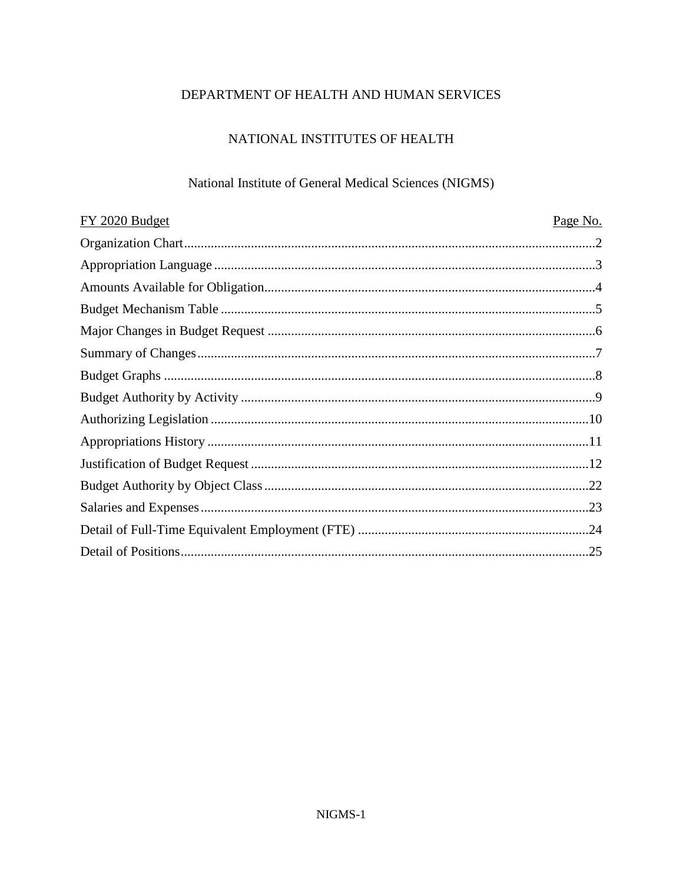# DEPARTMENT OF HEALTH AND HUMAN SERVICES

## NATIONAL INSTITUTES OF HEALTH

# National Institute of General Medical Sciences (NIGMS)

| FY 2020 Budget | Page No. |
|----------------|----------|
|                |          |
|                |          |
|                |          |
|                |          |
|                |          |
|                |          |
|                |          |
|                |          |
|                |          |
|                |          |
|                |          |
|                |          |
|                |          |
|                |          |
|                |          |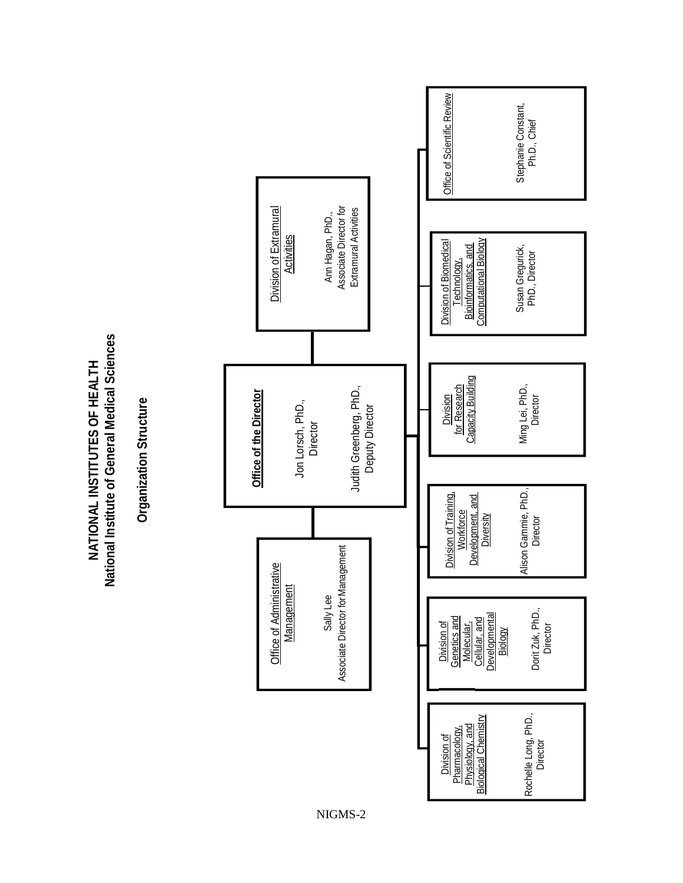**National Institute of General Medical Sciences**  National Institute of General Medical Sciences NATIONAL INSTITUTES OF HEALTH **NATIONAL INSTITUTES OF HEALTH**

**Organization Structure Organization Structure**



NIGMS - 2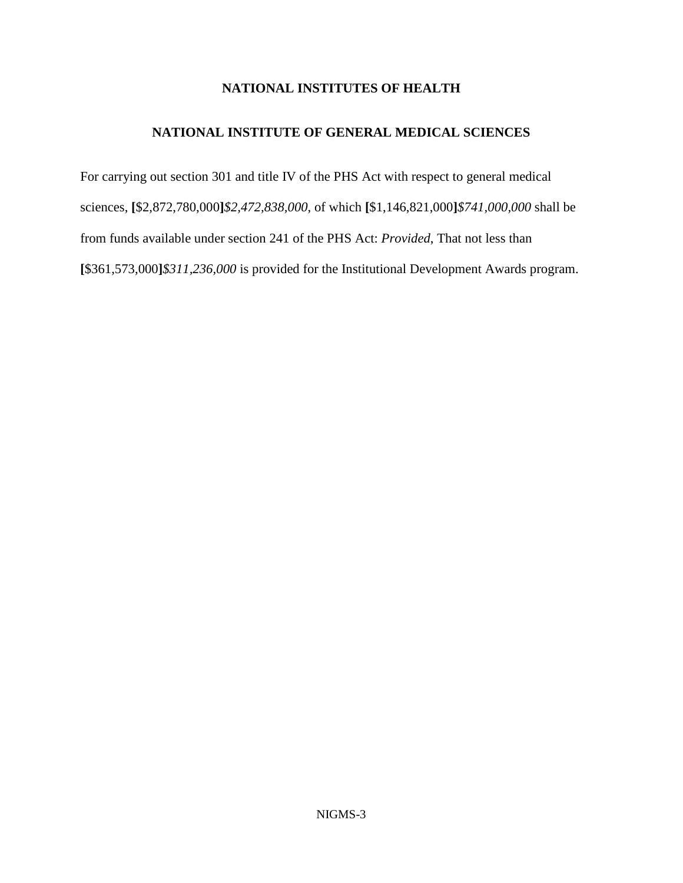### **NATIONAL INSTITUTES OF HEALTH**

### **NATIONAL INSTITUTE OF GENERAL MEDICAL SCIENCES**

For carrying out section 301 and title IV of the PHS Act with respect to general medical sciences, **[**\$2,872,780,000**]***\$2,472,838,000*, of which **[**\$1,146,821,000**]***\$741,000,000* shall be from funds available under section 241 of the PHS Act: *Provided*, That not less than **[**\$361,573,000**]***\$311,236,000* is provided for the Institutional Development Awards program.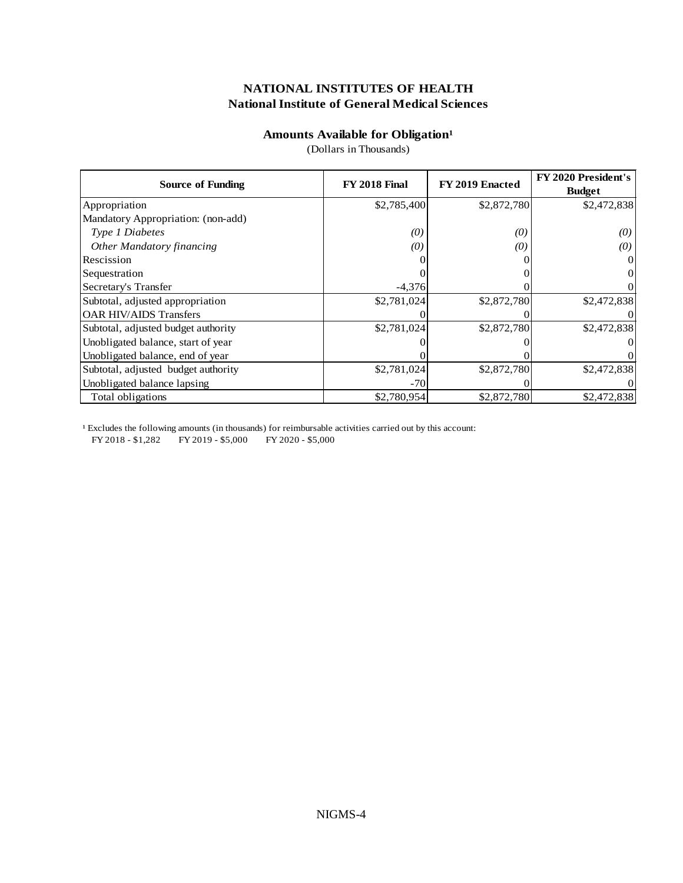#### **Amounts Available for Obligation**<sup>1</sup>

(Dollars in Thousands)

| <b>Source of Funding</b>            | <b>FY 2018 Final</b> | FY 2019 Enacted | <b>FY 2020 President's</b><br><b>Budget</b> |
|-------------------------------------|----------------------|-----------------|---------------------------------------------|
| Appropriation                       | \$2,785,400          | \$2,872,780     | \$2,472,838                                 |
| Mandatory Appropriation: (non-add)  |                      |                 |                                             |
| Type 1 Diabetes                     | $\left( 0\right)$    | (0)             | (0)                                         |
| <b>Other Mandatory financing</b>    | $\left( 0\right)$    | (0)             | (0)                                         |
| Rescission                          |                      |                 |                                             |
| Sequestration                       |                      |                 |                                             |
| Secretary's Transfer                | $-4,376$             |                 |                                             |
| Subtotal, adjusted appropriation    | \$2,781,024          | \$2,872,780     | \$2,472,838                                 |
| <b>OAR HIV/AIDS Transfers</b>       |                      |                 |                                             |
| Subtotal, adjusted budget authority | \$2,781,024          | \$2,872,780     | \$2,472,838                                 |
| Unobligated balance, start of year  |                      |                 |                                             |
| Unobligated balance, end of year    |                      |                 |                                             |
| Subtotal, adjusted budget authority | \$2,781,024          | \$2,872,780     | \$2,472,838                                 |
| Unobligated balance lapsing         | $-70$                |                 |                                             |
| Total obligations                   | \$2,780,954          | \$2,872,780     | \$2,472,838                                 |

<sup>1</sup> Excludes the following amounts (in thousands) for reimbursable activities carried out by this account:

FY 2018 - \$1,282 FY 2019 - \$5,000 FY 2020 - \$5,000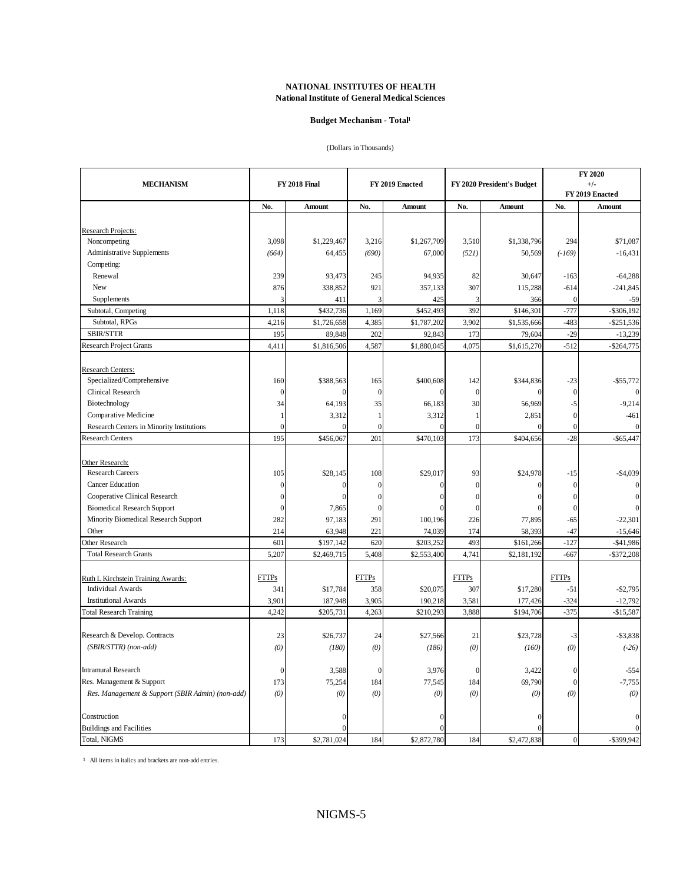#### **Budget Mechanism - Total<sup>1</sup>**

#### (Dollars in Thousands)

|                                                       |                      |                   |                |                  |                |                            |                    | FY 2020                |  |
|-------------------------------------------------------|----------------------|-------------------|----------------|------------------|----------------|----------------------------|--------------------|------------------------|--|
| <b>MECHANISM</b>                                      | <b>FY 2018 Final</b> |                   |                | FY 2019 Enacted  |                | FY 2020 President's Budget |                    | $+/-$                  |  |
|                                                       |                      |                   |                |                  |                |                            |                    | FY 2019 Enacted        |  |
|                                                       | No.                  | Amount            | No.            | Amount           | No.            | Amount                     | No.                | <b>Amount</b>          |  |
|                                                       |                      |                   |                |                  |                |                            |                    |                        |  |
| Research Projects:                                    |                      |                   |                |                  |                |                            |                    |                        |  |
| Noncompeting                                          | 3,098                | \$1,229,467       | 3,216          | \$1,267,709      | 3,510          | \$1,338,796                | 294                | \$71,087               |  |
| Administrative Supplements                            | (664)                | 64,455            | (690)          | 67,000           | (521)          | 50,569                     | $(-169)$           | $-16,431$              |  |
| Competing:                                            |                      |                   |                |                  |                |                            |                    |                        |  |
| Renewal<br>New                                        | 239                  | 93,473            | 245            | 94,935           | 82             | 30,647                     | $-163$             | $-64,288$              |  |
|                                                       | 876                  | 338,852           | 921            | 357,133          | 307            | 115,288                    | $-614$             | $-241,845$             |  |
| Supplements<br>Subtotal, Competing                    | 1,118                | 411<br>\$432,736  | 3<br>1,169     | 425<br>\$452,493 | 3<br>392       | 366<br>\$146,301           | $\theta$<br>$-777$ | $-59$<br>$-$ \$306,192 |  |
| Subtotal, RPGs                                        |                      |                   |                |                  |                |                            |                    |                        |  |
|                                                       | 4,216                | \$1,726,658       | 4,385          | \$1,787,202      | 3,902<br>173   | \$1,535,666                | $-483$<br>$-29$    | $-$ \$251,536          |  |
| SBIR/STTR                                             | 195                  | 89,848            | 202            | 92,843           |                | 79,604                     |                    | $-13,239$              |  |
| <b>Research Project Grants</b>                        | 4,411                | \$1,816,506       | 4,587          | \$1,880,045      | 4,075          | \$1,615,270                | $-512$             | $-$ \$264,775          |  |
|                                                       |                      |                   |                |                  |                |                            |                    |                        |  |
| <b>Research Centers:</b><br>Specialized/Comprehensive | 160                  | \$388,563         | 165            | \$400,608        | 142            | \$344,836                  | $-23$              | $-$ \$55,772           |  |
| Clinical Research                                     | $\mathbf{0}$         | $\Omega$          | $\overline{0}$ |                  | $\overline{0}$ |                            | $\theta$           |                        |  |
| Biotechnology                                         | 34                   | 64,193            | 35             | 66,183           | 30             | 56,969                     | -5                 | $-9,214$               |  |
| Comparative Medicine                                  | 1                    |                   | 1              | 3,312            |                | 2,851                      | $\boldsymbol{0}$   | $-461$                 |  |
| Research Centers in Minority Institutions             | $\overline{0}$       | 3,312<br>$\theta$ | $\overline{0}$ | $\sqrt{ }$       | $\overline{0}$ | $\theta$                   | $\theta$           | $\Omega$               |  |
| <b>Research Centers</b>                               | 195                  | \$456,067         | 201            | \$470,103        | 173            | \$404,656                  | $-28$              | $-$65,447$             |  |
|                                                       |                      |                   |                |                  |                |                            |                    |                        |  |
| Other Research:                                       |                      |                   |                |                  |                |                            |                    |                        |  |
| Research Careers                                      | 105                  | \$28,145          | 108            | \$29,017         | 93             | \$24,978                   | -15                | $-$4,039$              |  |
| <b>Cancer Education</b>                               | $\overline{0}$       | $\Omega$          | $\overline{0}$ | $\sqrt{ }$       | $\theta$       | $\theta$                   | $\mathbf{0}$       |                        |  |
| Cooperative Clinical Research                         | $\overline{0}$       | $\Omega$          | $\mathbf{0}$   | $\sqrt{ }$       | $\theta$       | $\theta$                   | $\Omega$           | $\theta$               |  |
| <b>Biomedical Research Support</b>                    | $\boldsymbol{0}$     | 7,865             | $\overline{0}$ |                  | $\Omega$       |                            | $\theta$           |                        |  |
| Minority Biomedical Research Support                  | 282                  | 97,183            | 291            | 100,196          | 226            | 77,895                     | $-65$              | $-22,301$              |  |
| Other                                                 | 214                  | 63,948            | 221            | 74,039           | 174            | 58,393                     | $-47$              | $-15,646$              |  |
| Other Research                                        | 601                  | \$197,142         | 620            | \$203,252        | 493            | \$161,266                  | $-127$             | $- $41,986$            |  |
| <b>Total Research Grants</b>                          | 5,207                | \$2,469,715       | 5,408          | \$2,553,400      | 4,741          | \$2,181,192                | $-667$             | $-$ \$372,208          |  |
|                                                       |                      |                   |                |                  |                |                            |                    |                        |  |
| Ruth L Kirchstein Training Awards:                    | <b>FTTPs</b>         |                   | <b>FTTPs</b>   |                  | <b>FTTPs</b>   |                            | <b>FTTPs</b>       |                        |  |
| <b>Individual Awards</b>                              | 341                  | \$17,784          | 358            | \$20,075         | 307            | \$17,280                   | $-51$              | $-$2,795$              |  |
| <b>Institutional Awards</b>                           | 3,901                | 187,948           | 3,905          | 190,218          | 3,581          | 177,426                    | $-324$             | $-12,792$              |  |
| <b>Total Research Training</b>                        | 4.242                | \$205,731         | 4,263          | \$210,293        | 3,888          | \$194,706                  | $-375$             | $-$15,587$             |  |
|                                                       |                      |                   |                |                  |                |                            |                    |                        |  |
| Research & Develop. Contracts                         | 23                   | \$26,737          | 24             | \$27,566         | 21             | \$23,728                   | $-3$               | $- $3,838$             |  |
| (SBIR/STTR) (non-add)                                 | (0)                  | (180)             | (0)            | (186)            | (0)            | (160)                      | (0)                | $(-26)$                |  |
|                                                       |                      |                   |                |                  |                |                            |                    |                        |  |
| Intramural Research                                   | $\boldsymbol{0}$     | 3,588             | $\mathbf{0}$   | 3,976            | $\theta$       | 3,422                      | $\mathbf{0}$       | $-554$                 |  |
| Res. Management & Support                             | 173                  | 75,254            | 184            | 77,545           | 184            | 69,790                     | $\boldsymbol{0}$   | $-7,755$               |  |
| Res. Management & Support (SBIR Admin) (non-add)      | (0)                  | (0)               | (0)            | (0)              | (0)            | (0)                        | (0)                | (0)                    |  |
|                                                       |                      |                   |                |                  |                |                            |                    |                        |  |
| Construction                                          |                      | $\Omega$          |                | $\sqrt{ }$       |                | $\theta$                   |                    |                        |  |
| <b>Buildings and Facilities</b>                       |                      | $\Omega$          |                |                  |                | $\sqrt{ }$                 |                    |                        |  |
| Total, NIGMS                                          | 173                  | \$2,781,024       | 184            | \$2,872,780      | 184            | \$2,472,838                | $\vert 0 \vert$    | $-$ \$399,942          |  |

 $1$  All items in italics and brackets are non-add entries.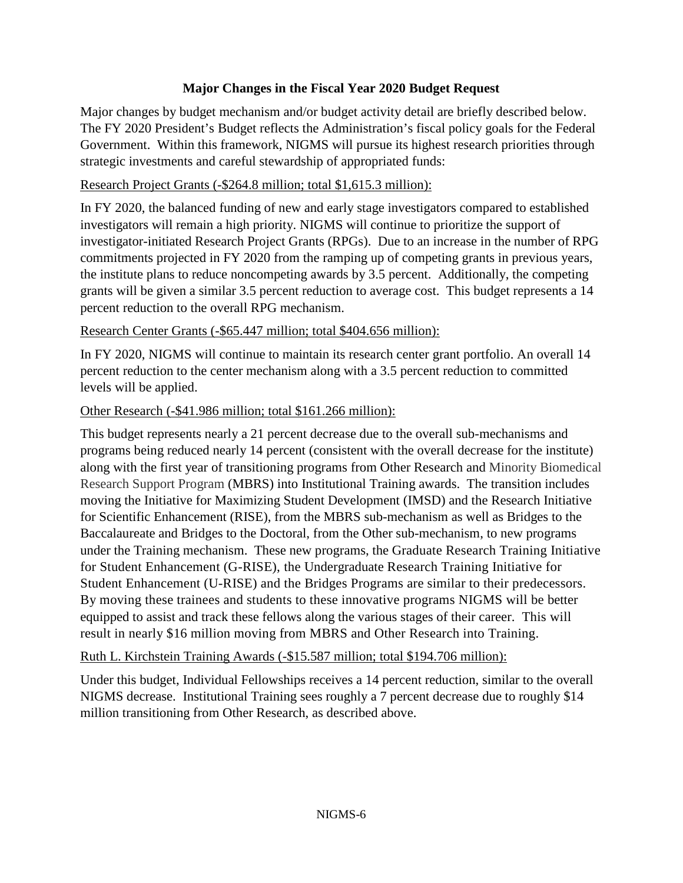# **Major Changes in the Fiscal Year 2020 Budget Request**

Major changes by budget mechanism and/or budget activity detail are briefly described below. The FY 2020 President's Budget reflects the Administration's fiscal policy goals for the Federal Government. Within this framework, NIGMS will pursue its highest research priorities through strategic investments and careful stewardship of appropriated funds:

# Research Project Grants (-\$264.8 million; total \$1,615.3 million):

In FY 2020, the balanced funding of new and early stage investigators compared to established investigators will remain a high priority. NIGMS will continue to prioritize the support of investigator-initiated Research Project Grants (RPGs). Due to an increase in the number of RPG commitments projected in FY 2020 from the ramping up of competing grants in previous years, the institute plans to reduce noncompeting awards by 3.5 percent. Additionally, the competing grants will be given a similar 3.5 percent reduction to average cost. This budget represents a 14 percent reduction to the overall RPG mechanism.

# Research Center Grants (-\$65.447 million; total \$404.656 million):

In FY 2020, NIGMS will continue to maintain its research center grant portfolio. An overall 14 percent reduction to the center mechanism along with a 3.5 percent reduction to committed levels will be applied.

# Other Research (-\$41.986 million; total \$161.266 million):

This budget represents nearly a 21 percent decrease due to the overall sub-mechanisms and programs being reduced nearly 14 percent (consistent with the overall decrease for the institute) along with the first year of transitioning programs from Other Research and Minority Biomedical Research Support Program (MBRS) into Institutional Training awards. The transition includes moving the Initiative for Maximizing Student Development (IMSD) and the Research Initiative for Scientific Enhancement (RISE), from the MBRS sub-mechanism as well as Bridges to the Baccalaureate and Bridges to the Doctoral, from the Other sub-mechanism, to new programs under the Training mechanism. These new programs, the Graduate Research Training Initiative for Student Enhancement (G-RISE), the Undergraduate Research Training Initiative for Student Enhancement (U-RISE) and the Bridges Programs are similar to their predecessors. By moving these trainees and students to these innovative programs NIGMS will be better equipped to assist and track these fellows along the various stages of their career. This will result in nearly \$16 million moving from MBRS and Other Research into Training.

Ruth L. Kirchstein Training Awards (-\$15.587 million; total \$194.706 million):

Under this budget, Individual Fellowships receives a 14 percent reduction, similar to the overall NIGMS decrease. Institutional Training sees roughly a 7 percent decrease due to roughly \$14 million transitioning from Other Research, as described above.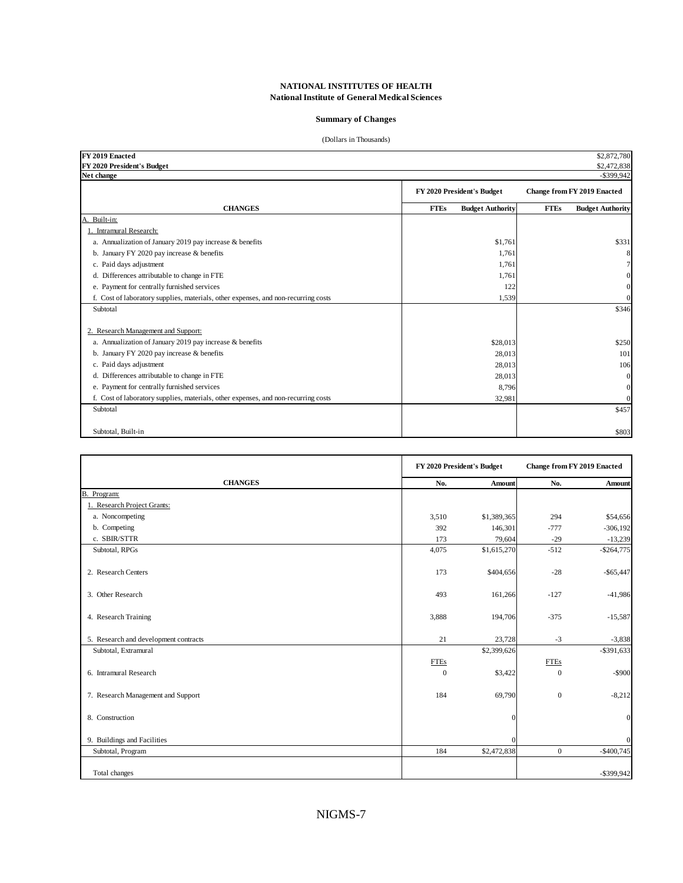#### **Summary of Changes**

#### (Dollars in Thousands)

| FY 2019 Enacted<br>FY 2020 President's Budget                                      |                                        | \$2,872,780<br>\$2,472,838             |
|------------------------------------------------------------------------------------|----------------------------------------|----------------------------------------|
| Net change                                                                         |                                        | $-$ \$399,942                          |
|                                                                                    | FY 2020 President's Budget             | <b>Change from FY 2019 Enacted</b>     |
| <b>CHANGES</b>                                                                     | <b>FTEs</b><br><b>Budget Authority</b> | <b>FTEs</b><br><b>Budget Authority</b> |
| A. Built-in:                                                                       |                                        |                                        |
| 1. Intramural Research:                                                            |                                        |                                        |
| a. Annualization of January 2019 pay increase & benefits                           | \$1,761                                | \$331                                  |
| b. January FY 2020 pay increase & benefits                                         | 1.761                                  | 8                                      |
| c. Paid days adjustment                                                            | 1.761                                  |                                        |
| d. Differences attributable to change in FTE                                       | 1,761                                  |                                        |
| e. Payment for centrally furnished services                                        | 122                                    | $\overline{0}$                         |
| f. Cost of laboratory supplies, materials, other expenses, and non-recurring costs | 1,539                                  | $\boldsymbol{0}$                       |
| Subtotal                                                                           |                                        | \$346                                  |
|                                                                                    |                                        |                                        |
| 2. Research Management and Support:                                                |                                        |                                        |
| a. Annualization of January 2019 pay increase & benefits                           | \$28,013                               | \$250                                  |
| b. January FY 2020 pay increase & benefits                                         | 28,013                                 | 101                                    |
| c. Paid days adjustment                                                            | 28,013                                 | 106                                    |
| d. Differences attributable to change in FTE                                       | 28,013                                 | $\overline{0}$                         |
| e. Payment for centrally furnished services                                        | 8,796                                  | $\overline{0}$                         |
| f. Cost of laboratory supplies, materials, other expenses, and non-recurring costs | 32,981                                 | $\overline{0}$                         |
| Subtotal                                                                           |                                        | \$457                                  |
|                                                                                    |                                        |                                        |
| Subtotal, Built-in                                                                 |                                        | \$803                                  |

|                                       | FY 2020 President's Budget |               | <b>Change from FY 2019 Enacted</b> |               |
|---------------------------------------|----------------------------|---------------|------------------------------------|---------------|
| <b>CHANGES</b>                        | No.                        | <b>Amount</b> | No.                                | <b>Amount</b> |
| <b>B.</b><br>Program:                 |                            |               |                                    |               |
| 1. Research Project Grants:           |                            |               |                                    |               |
| a. Noncompeting                       | 3,510                      | \$1,389,365   | 294                                | \$54,656      |
| b. Competing                          | 392                        | 146,301       | $-777$                             | $-306,192$    |
| c. SBIR/STTR                          | 173                        | 79,604        | $-29$                              | $-13,239$     |
| Subtotal, RPGs                        | 4,075                      | \$1,615,270   | $-512$                             | $-$264,775$   |
| 2. Research Centers                   | 173                        | \$404,656     | $-28$                              | $-$ \$65,447  |
| 3. Other Research                     | 493                        | 161,266       | $-127$                             | $-41,986$     |
| 4. Research Training                  | 3,888                      | 194,706       | $-375$                             | $-15,587$     |
| 5. Research and development contracts | 21                         | 23,728        | $-3$                               | $-3,838$      |
| Subtotal, Extramural                  |                            | \$2,399,626   |                                    | $-$ \$391,633 |
|                                       | <b>FTEs</b>                |               | <b>FTEs</b>                        |               |
| 6. Intramural Research                | $\mathbf{0}$               | \$3,422       | $\Omega$                           | $-$ \$900     |
| 7. Research Management and Support    | 184                        | 69,790        | $\mathbf{0}$                       | $-8,212$      |
| 8. Construction                       |                            | 0             |                                    | $\mathbf{0}$  |
| 9. Buildings and Facilities           |                            | $\theta$      |                                    | $\mathbf{0}$  |
| Subtotal, Program                     | 184                        | \$2,472,838   | $\overline{0}$                     | $-$400,745$   |
|                                       |                            |               |                                    |               |
| Total changes                         |                            |               |                                    | $-$ \$399,942 |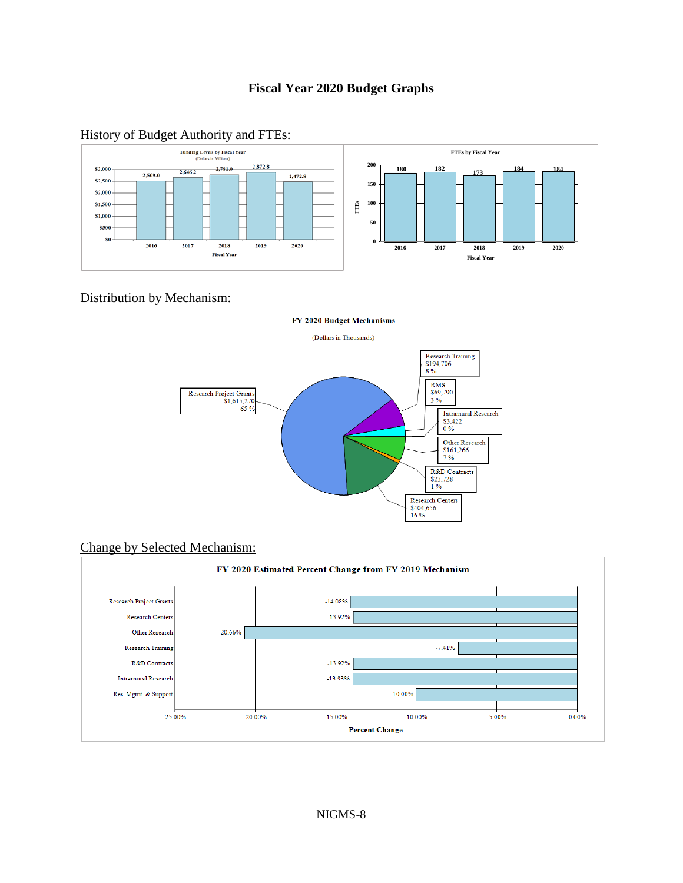## **Fiscal Year 2020 Budget Graphs**

# History of Budget Authority and FTEs:



#### Distribution by Mechanism:





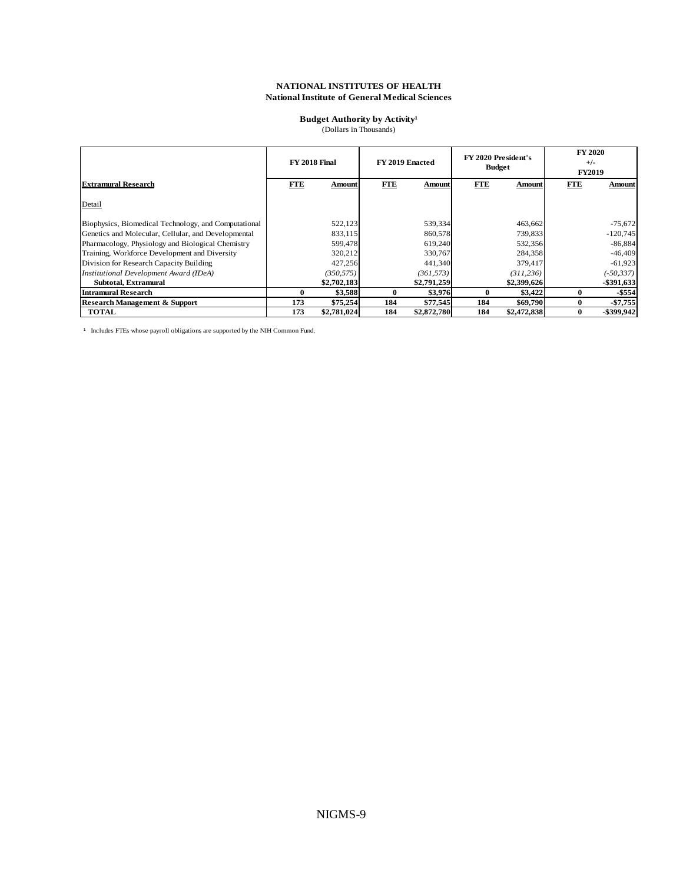#### **Budget Authority by Activity<sup>1</sup>**

(Dollars in Thousands)

|                                                      |     | <b>FY 2018 Final</b> |              | FY 2019 Enacted |     | <b>FY 2020 President's</b><br><b>Budget</b> |            | <b>FY 2020</b><br>$+/-$<br><b>FY2019</b> |
|------------------------------------------------------|-----|----------------------|--------------|-----------------|-----|---------------------------------------------|------------|------------------------------------------|
| <b>Extramural Research</b>                           | FTE | Amount               | <b>FTE</b>   | Amount          | FTE | Amount                                      | <b>FTE</b> | Amount                                   |
| Detail                                               |     |                      |              |                 |     |                                             |            |                                          |
| Biophysics, Biomedical Technology, and Computational |     | 522,123              |              | 539,334         |     | 463,662                                     |            | $-75,672$                                |
| Genetics and Molecular, Cellular, and Developmental  |     | 833,115              |              | 860,578         |     | 739,833                                     |            | $-120,745$                               |
| Pharmacology, Physiology and Biological Chemistry    |     | 599,478              |              | 619,240         |     | 532,356                                     |            | $-86,884$                                |
| Training, Workforce Development and Diversity        |     | 320,212              |              | 330,767         |     | 284,358                                     |            | $-46,409$                                |
| Division for Research Capacity Building              |     | 427,256              |              | 441,340         |     | 379,417                                     |            | $-61,923$                                |
| Institutional Development Award (IDeA)               |     | (350, 575)           |              | (361, 573)      |     | (311, 236)                                  |            | $(-50, 337)$                             |
| Subtotal, Extramural                                 |     | \$2,702,183          |              | \$2,791,259     |     | \$2,399,626                                 |            | $-$ \$391,633                            |
| <b>Intramural Research</b>                           | 0   | \$3,588              | $\mathbf{0}$ | \$3,976         | 0   | \$3,422                                     | 0          | $-$ \$554                                |
| <b>Research Management &amp; Support</b>             | 173 | \$75,254             | 184          | \$77,545        | 184 | \$69,790                                    | 0          | $-$7,755$                                |
| <b>TOTAL</b>                                         | 173 | \$2,781,024          | 184          | \$2,872,780     | 184 | \$2,472,838                                 | 0          | $-$ \$399.942                            |

<sup>1</sup> Includes FTEs whose payroll obligations are supported by the NIH Common Fund.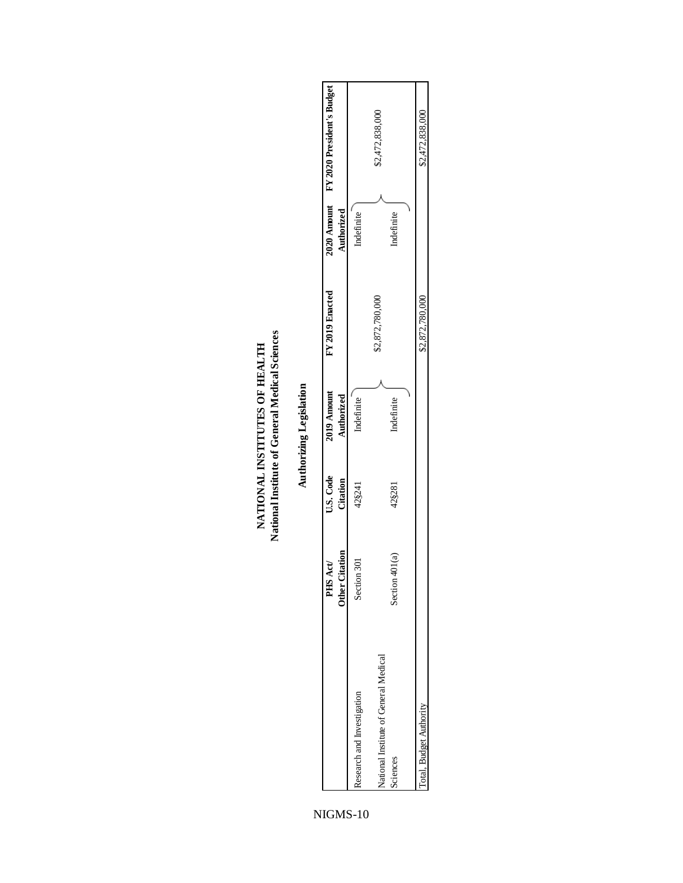| NATIONAL INSTITUTES OF HEALTH | National Institute of General Medical Science |  |
|-------------------------------|-----------------------------------------------|--|

| ś |
|---|
|   |
|   |
|   |
| ۱ |
|   |
|   |
|   |
|   |
|   |
|   |
| Ì |
|   |
|   |
|   |
|   |
|   |
|   |
| ٦ |
|   |
|   |
|   |
|   |
|   |
|   |

|                                                   | <b>Other Citation</b><br>PHS Act/ | U.S. Code<br>Citation | 2019 Amount<br>Authorized | FY 2019 Enacted | Authorized | 2020 Amount FY 2020 President's Budget |
|---------------------------------------------------|-----------------------------------|-----------------------|---------------------------|-----------------|------------|----------------------------------------|
| Research and Investigation                        | Section 301                       | 42§241                | Indefinite                |                 | Indefinite |                                        |
| National Institute of General Medical<br>Sciences | Section $401(a)$                  | 42§281                | Indefinite                | \$2,872,780,000 | Indefinite | \$2,472,838,000                        |
|                                                   |                                   |                       |                           |                 |            |                                        |
| Total, Budget Authority                           |                                   |                       |                           | \$2,872,780,000 |            | \$2,472,838,000                        |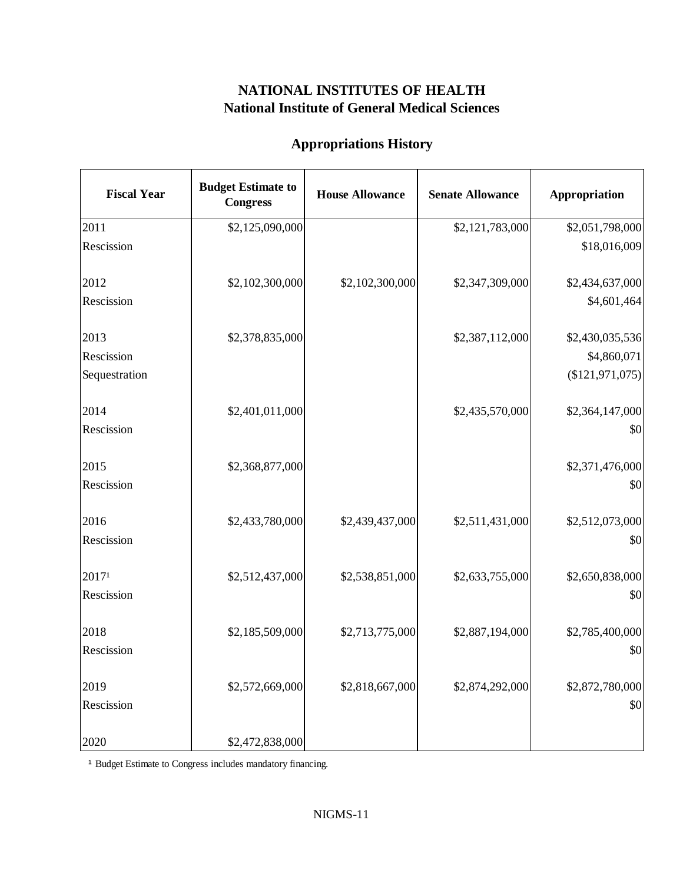# **Appropriations History**

| <b>Fiscal Year</b> | <b>Budget Estimate to</b><br><b>Congress</b> | <b>House Allowance</b> | <b>Senate Allowance</b> | <b>Appropriation</b> |
|--------------------|----------------------------------------------|------------------------|-------------------------|----------------------|
| 2011               | \$2,125,090,000                              |                        | \$2,121,783,000         | \$2,051,798,000      |
| Rescission         |                                              |                        |                         | \$18,016,009         |
| 2012               | \$2,102,300,000                              | \$2,102,300,000        | \$2,347,309,000         | \$2,434,637,000      |
| Rescission         |                                              |                        |                         | \$4,601,464          |
| 2013               | \$2,378,835,000                              |                        | \$2,387,112,000         | \$2,430,035,536      |
| Rescission         |                                              |                        |                         | \$4,860,071          |
| Sequestration      |                                              |                        |                         | (\$121,971,075)      |
| 2014               | \$2,401,011,000                              |                        | \$2,435,570,000         | \$2,364,147,000      |
| Rescission         |                                              |                        |                         | \$0                  |
| 2015               | \$2,368,877,000                              |                        |                         | \$2,371,476,000      |
| Rescission         |                                              |                        |                         | \$0                  |
| 2016               | \$2,433,780,000                              | \$2,439,437,000        | \$2,511,431,000         | \$2,512,073,000      |
| Rescission         |                                              |                        |                         | \$0                  |
| 20171              | \$2,512,437,000                              | \$2,538,851,000        | \$2,633,755,000         | \$2,650,838,000      |
| Rescission         |                                              |                        |                         | \$0                  |
| 2018               | \$2,185,509,000                              | \$2,713,775,000        | \$2,887,194,000         | \$2,785,400,000      |
| Rescission         |                                              |                        |                         | \$0                  |
| 2019               | \$2,572,669,000                              | \$2,818,667,000        | \$2,874,292,000         | \$2,872,780,000      |
| Rescission         |                                              |                        |                         | \$0                  |
| 2020               | \$2,472,838,000                              |                        |                         |                      |

<sup>1</sup> Budget Estimate to Congress includes mandatory financing.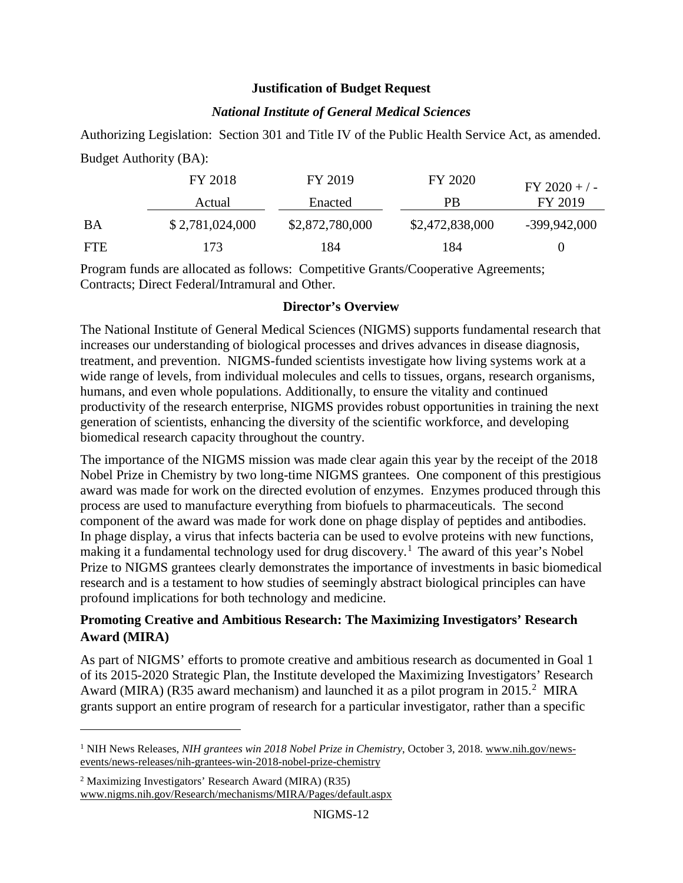### **Justification of Budget Request**

### *National Institute of General Medical Sciences*

Authorizing Legislation: Section 301 and Title IV of the Public Health Service Act, as amended. Budget Authority (BA):

|            | FY 2018         | FY 2019         | FY 2020         | $FY 2020 + / -$ |
|------------|-----------------|-----------------|-----------------|-----------------|
|            | Actual          | Enacted         | <b>PB</b>       | FY 2019         |
| BA         | \$2,781,024,000 | \$2,872,780,000 | \$2,472,838,000 | -399,942,000    |
| <b>FTE</b> | 173             | 84              | 184             |                 |

Program funds are allocated as follows: Competitive Grants/Cooperative Agreements; Contracts; Direct Federal/Intramural and Other.

### **Director's Overview**

The National Institute of General Medical Sciences (NIGMS) supports fundamental research that increases our understanding of biological processes and drives advances in disease diagnosis, treatment, and prevention. NIGMS-funded scientists investigate how living systems work at a wide range of levels, from individual molecules and cells to tissues, organs, research organisms, humans, and even whole populations. Additionally, to ensure the vitality and continued productivity of the research enterprise, NIGMS provides robust opportunities in training the next generation of scientists, enhancing the diversity of the scientific workforce, and developing biomedical research capacity throughout the country.

The importance of the NIGMS mission was made clear again this year by the receipt of the 2018 Nobel Prize in Chemistry by two long-time NIGMS grantees. One component of this prestigious award was made for work on the directed evolution of enzymes. Enzymes produced through this process are used to manufacture everything from biofuels to pharmaceuticals. The second component of the award was made for work done on phage display of peptides and antibodies. In phage display, a virus that infects bacteria can be used to evolve proteins with new functions, making it a fundamental technology used for drug discovery.<sup>[1](#page-11-0)</sup> The award of this year's Nobel Prize to NIGMS grantees clearly demonstrates the importance of investments in basic biomedical research and is a testament to how studies of seemingly abstract biological principles can have profound implications for both technology and medicine.

## **Promoting Creative and Ambitious Research: The Maximizing Investigators' Research Award (MIRA)**

As part of NIGMS' efforts to promote creative and ambitious research as documented in Goal 1 of its 2015-2020 Strategic Plan, the Institute developed the Maximizing Investigators' Research Award (MIRA) (R35 award mechanism) and launched it as a pilot program in  $2015.<sup>2</sup>$  $2015.<sup>2</sup>$  MIRA grants support an entire program of research for a particular investigator, rather than a specific

 $\overline{\phantom{a}}$ 

<span id="page-11-0"></span><sup>&</sup>lt;sup>1</sup> NIH News Releases, *NIH grantees win 2018 Nobel Prize in Chemistry*, October 3, 2018. www.nih.gov/newsevents/news-releases/nih-grantees-win-2018-nobel-prize-chemistry

<span id="page-11-1"></span><sup>2</sup> Maximizing Investigators' Research Award (MIRA) (R35) www.nigms.nih.gov/Research/mechanisms/MIRA/Pages/default.aspx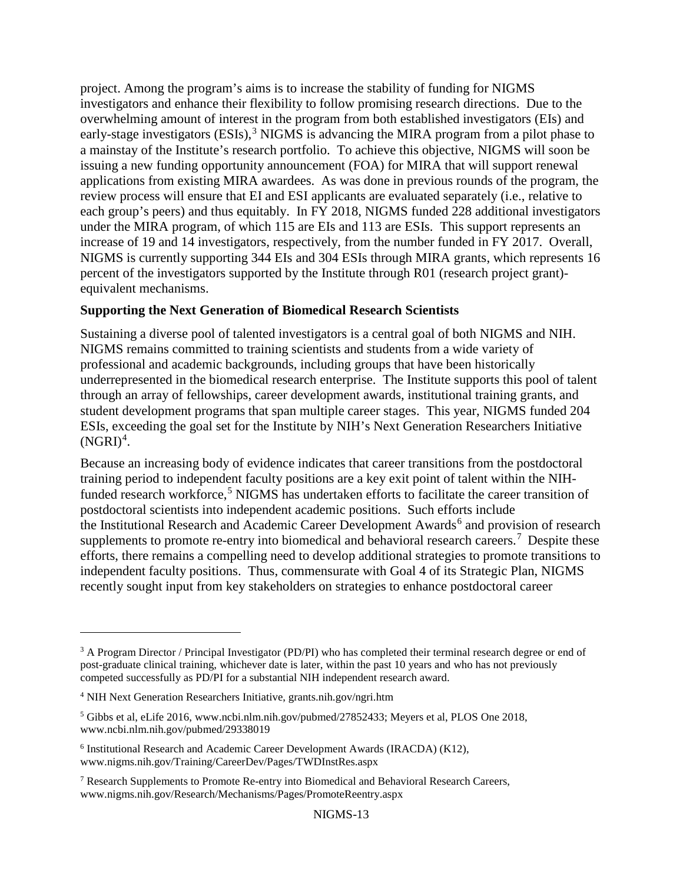project. Among the program's aims is to increase the stability of funding for NIGMS investigators and enhance their flexibility to follow promising research directions. Due to the overwhelming amount of interest in the program from both established investigators (EIs) and early-stage investigators  $(ESIs),<sup>3</sup> NIGMS$  $(ESIs),<sup>3</sup> NIGMS$  $(ESIs),<sup>3</sup> NIGMS$  is advancing the MIRA program from a pilot phase to a mainstay of the Institute's research portfolio. To achieve this objective, NIGMS will soon be issuing a new funding opportunity announcement (FOA) for MIRA that will support renewal applications from existing MIRA awardees. As was done in previous rounds of the program, the review process will ensure that EI and ESI applicants are evaluated separately (i.e., relative to each group's peers) and thus equitably. In FY 2018, NIGMS funded 228 additional investigators under the MIRA program, of which 115 are EIs and 113 are ESIs. This support represents an increase of 19 and 14 investigators, respectively, from the number funded in FY 2017. Overall, NIGMS is currently supporting 344 EIs and 304 ESIs through MIRA grants, which represents 16 percent of the investigators supported by the Institute through R01 (research project grant) equivalent mechanisms.

### **Supporting the Next Generation of Biomedical Research Scientists**

Sustaining a diverse pool of talented investigators is a central goal of both NIGMS and NIH. NIGMS remains committed to training scientists and students from a wide variety of professional and academic backgrounds, including groups that have been historically underrepresented in the biomedical research enterprise. The Institute supports this pool of talent through an array [of fellowships, career development awards, institutional training grants, and](https://www.nigms.nih.gov/Training/Pages/default.aspx)  [student development programs](https://www.nigms.nih.gov/Training/Pages/default.aspx) that span multiple career stages. This year, NIGMS funded 204 ESIs, exceeding the goal set for the Institute by NIH's Next Generation Researchers Initiative  $(NGRI)^4$  $(NGRI)^4$ .

Because an increasing body of evidence indicates that career transitions from the postdoctoral training period to independent faculty positions are a key exit point of talent within the NIH-funded research workforce,<sup>[5](#page-12-2)</sup> NIGMS has undertaken efforts to facilitate the career transition of postdoctoral scientists into independent academic positions. Such efforts include the [Institutional Research and Academic Career Development Awards](https://www.nigms.nih.gov/Training/CareerDev/Pages/TWDInstRes.aspx)<sup>[6](#page-12-3)</sup> and provision of research supplements to promote [re-entry into biomedical](https://www.nigms.nih.gov/Research/Mechanisms/Pages/PromoteReentry.aspx) and behavioral research careers.<sup>[7](#page-12-4)</sup> Despite these efforts, there remains a compelling need to develop additional strategies to promote transitions to independent faculty positions. Thus, commensurate with Goal 4 of its Strategic Plan, NIGMS recently sought input from key stakeholders on strategies to enhance postdoctoral career

 $\overline{\phantom{a}}$ 

<span id="page-12-0"></span><sup>&</sup>lt;sup>3</sup> A Program Director / Principal Investigator (PD/PI) who has completed their terminal research degree or end of post-graduate clinical training, whichever date is later, within the past 10 years and who has not previously competed successfully as PD/PI for a substantial NIH independent research award.

<span id="page-12-1"></span><sup>4</sup> NIH Next Generation Researchers Initiative, grants.nih.gov/ngri.htm

<span id="page-12-2"></span><sup>5</sup> [Gibbs et al, eLife 2016,](https://www.ncbi.nlm.nih.gov/pubmed/27852433) www.ncbi.nlm.nih.gov/pubmed/27852433; [Meyers et al, PLOS One 2018,](https://www.ncbi.nlm.nih.gov/pubmed/29338019) www.ncbi.nlm.nih.gov/pubmed/29338019

<span id="page-12-3"></span><sup>6</sup> Institutional Research and Academic Career Development Awards (IRACDA) (K12), www.nigms.nih.gov/Training/CareerDev/Pages/TWDInstRes.aspx

<span id="page-12-4"></span><sup>7</sup> Research Supplements to Promote Re-entry into Biomedical and Behavioral Research Careers, www.nigms.nih.gov/Research/Mechanisms/Pages/PromoteReentry.aspx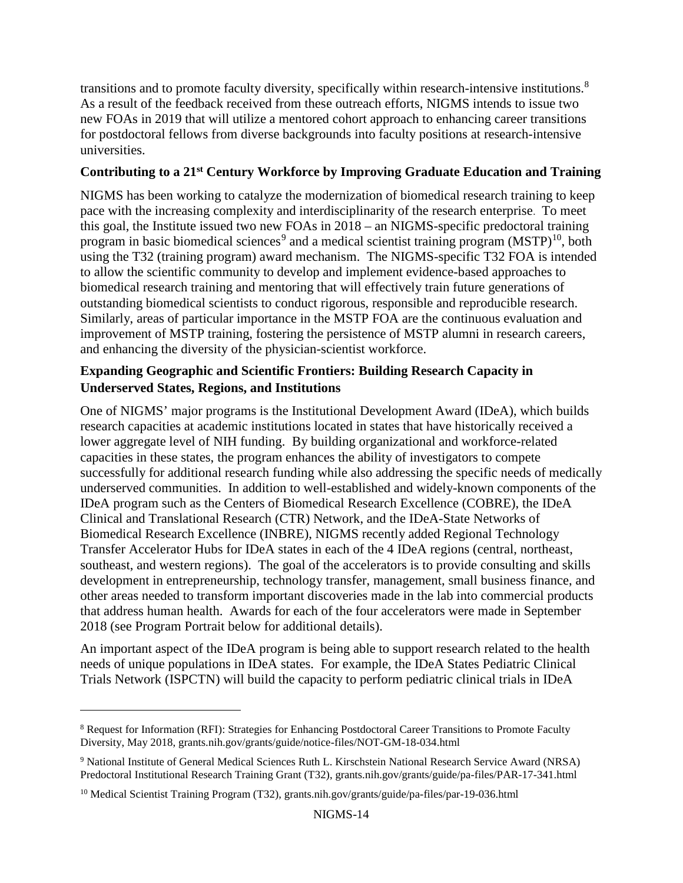transitions and to promote faculty diversity, specifically within research-intensive institutions.<sup>[8](#page-13-0)</sup> As a result of the feedback received from these outreach efforts, NIGMS intends to issue two new FOAs in 2019 that will utilize a mentored cohort approach to enhancing career transitions for postdoctoral fellows from diverse backgrounds into faculty positions at research-intensive universities.

## **Contributing to a 21st Century Workforce by Improving Graduate Education and Training**

NIGMS has been working to catalyze the modernization of biomedical research training to keep pace with the increasing complexity and interdisciplinarity of the research enterprise. To meet this goal, the Institute issued two new FOAs in 2018 – an NIGMS-specific predoctoral training program in basic biomedical sciences<sup>[9](#page-13-1)</sup> and a medical scientist training program  $(MSTP)^{10}$ , both using the T32 (training program) award mechanism. The NIGMS-specific T32 FOA is intended to allow the scientific community to develop and implement evidence-based approaches to biomedical research training and mentoring that will effectively train future generations of outstanding biomedical scientists to conduct rigorous, responsible and reproducible research. Similarly, areas of particular importance in the MSTP FOA are the continuous evaluation and improvement of MSTP training, fostering the persistence of MSTP alumni in research careers, and enhancing the diversity of the physician-scientist workforce.

## **Expanding Geographic and Scientific Frontiers: Building Research Capacity in Underserved States, Regions, and Institutions**

One of NIGMS' major programs is the Institutional Development Award (IDeA), which builds research capacities at academic institutions located in states that have historically received a lower aggregate level of NIH funding. By building organizational and workforce-related capacities in these states, the program enhances the ability of investigators to compete successfully for additional research funding while also addressing the specific needs of medically underserved communities. In addition to well-established and widely-known components of the IDeA program such as the Centers of Biomedical Research Excellence (COBRE), the IDeA Clinical and Translational Research (CTR) Network, and the IDeA-State Networks of Biomedical Research Excellence (INBRE), NIGMS recently added Regional Technology Transfer Accelerator Hubs for IDeA states in each of the 4 IDeA regions (central, northeast, southeast, and western regions). The goal of the accelerators is to provide consulting and skills development in entrepreneurship, technology transfer, management, small business finance, and other areas needed to transform important discoveries made in the lab into commercial products that address human health. Awards for each of the four accelerators were made in September 2018 (see Program Portrait below for additional details).

An important aspect of the IDeA program is being able to support research related to the health needs of unique populations in IDeA states. For example, the IDeA States Pediatric Clinical Trials Network (ISPCTN) will build the capacity to perform pediatric clinical trials in IDeA

l

<span id="page-13-0"></span><sup>&</sup>lt;sup>8</sup> Request for Information (RFI): Strategies for Enhancing Postdoctoral Career Transitions to Promote Faculty Diversity, May 2018, grants.nih.gov/grants/guide/notice-files/NOT-GM-18-034.html

<span id="page-13-1"></span><sup>9</sup> National Institute of General Medical Sciences Ruth L. Kirschstein National Research Service Award (NRSA) Predoctoral Institutional Research Training Grant (T32), grants.nih.gov/grants/guide/pa-files/PAR-17-341.html

<span id="page-13-2"></span><sup>&</sup>lt;sup>10</sup> Medical Scientist Training Program (T32), grants.nih.gov/grants/guide/pa-files/par-19-036.html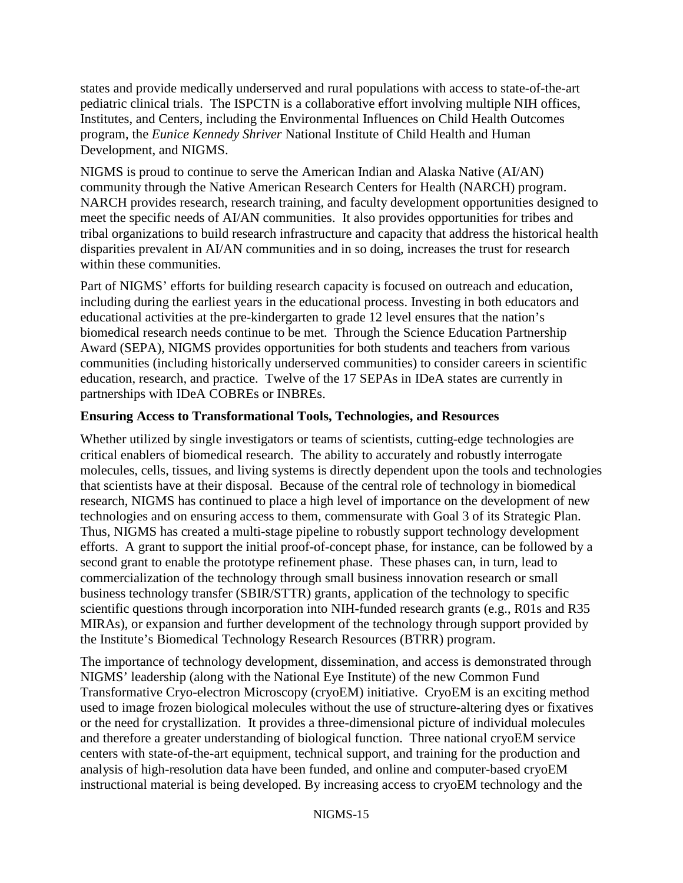states and provide medically underserved and rural populations with access to state-of-the-art pediatric clinical trials. The ISPCTN is a collaborative effort involving multiple NIH offices, Institutes, and Centers, including the Environmental Influences on Child Health Outcomes program, the *Eunice Kennedy Shriver* National Institute of Child Health and Human Development, and NIGMS.

NIGMS is proud to continue to serve the American Indian and Alaska Native (AI/AN) community through the Native American Research Centers for Health (NARCH) program. NARCH provides research, research training, and faculty development opportunities designed to meet the specific needs of AI/AN communities. It also provides opportunities for tribes and tribal organizations to build research infrastructure and capacity that address the historical health disparities prevalent in AI/AN communities and in so doing, increases the trust for research within these communities.

Part of NIGMS' efforts for building research capacity is focused on outreach and education, including during the earliest years in the educational process. Investing in both educators and educational activities at the pre-kindergarten to grade 12 level ensures that the nation's biomedical research needs continue to be met. Through the Science Education Partnership Award (SEPA), NIGMS provides opportunities for both students and teachers from various communities (including historically underserved communities) to consider careers in scientific education, research, and practice. Twelve of the 17 SEPAs in IDeA states are currently in partnerships with IDeA COBREs or INBREs.

## **Ensuring Access to Transformational Tools, Technologies, and Resources**

Whether utilized by single investigators or teams of scientists, cutting-edge technologies are critical enablers of biomedical research. The ability to accurately and robustly interrogate molecules, cells, tissues, and living systems is directly dependent upon the tools and technologies that scientists have at their disposal. Because of the central role of technology in biomedical research, NIGMS has continued to place a high level of importance on the development of new technologies and on ensuring access to them, commensurate with Goal 3 of its Strategic Plan. Thus, NIGMS has created a multi-stage pipeline to robustly support technology development efforts. A grant to support the initial proof-of-concept phase, for instance, can be followed by a second grant to enable the prototype refinement phase. These phases can, in turn, lead to commercialization of the technology through small business innovation research or small business technology transfer (SBIR/STTR) grants, application of the technology to specific scientific questions through incorporation into NIH-funded research grants (e.g., R01s and R35 MIRAs), or expansion and further development of the technology through support provided by the Institute's Biomedical Technology Research Resources (BTRR) program.

The importance of technology development, dissemination, and access is demonstrated through NIGMS' leadership (along with the National Eye Institute) of the new Common Fund Transformative Cryo-electron Microscopy (cryoEM) initiative. CryoEM is an exciting method used to image frozen biological molecules without the use of structure-altering dyes or fixatives or the need for crystallization. It provides a three-dimensional picture of individual molecules and therefore a greater understanding of biological function. Three national cryoEM service centers with state-of-the-art equipment, technical support, and training for the production and analysis of high-resolution data have been funded, and online and computer-based cryoEM instructional material is being developed. By increasing access to cryoEM technology and the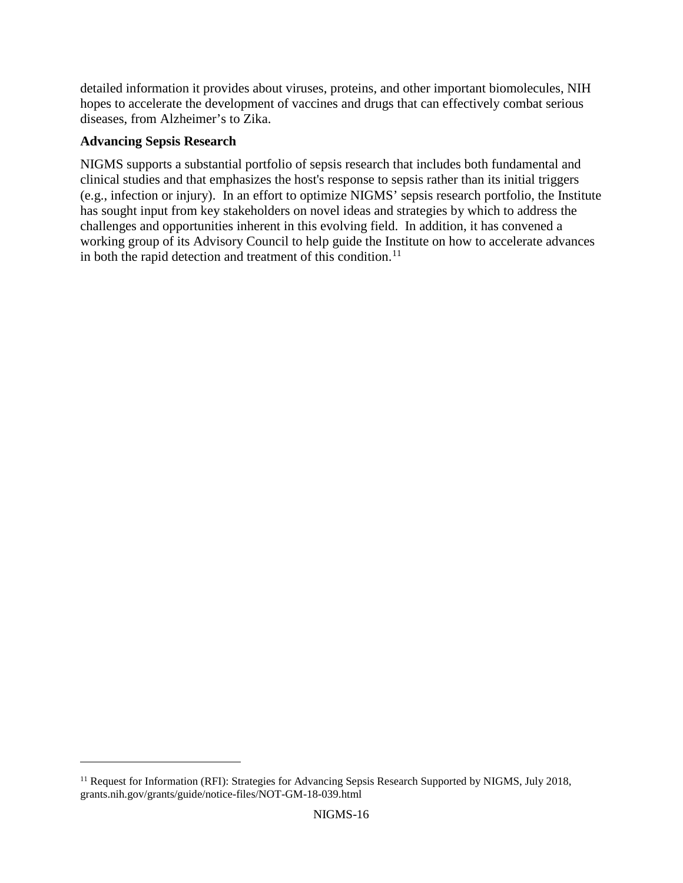detailed information it provides about viruses, proteins, and other important biomolecules, NIH hopes to accelerate the development of vaccines and drugs that can effectively combat serious diseases, from Alzheimer's to Zika.

### **Advancing Sepsis Research**

 $\overline{a}$ 

NIGMS supports a substantial portfolio of sepsis research that includes both fundamental and clinical studies and that emphasizes the host's response to sepsis rather than its initial triggers (e.g., infection or injury). In an effort to optimize NIGMS' sepsis research portfolio, the Institute has sought input from key stakeholders on novel ideas and strategies by which to address the challenges and opportunities inherent in this evolving field. In addition, it has convened a working group of its Advisory Council to help guide the Institute on how to accelerate advances in both the rapid detection and treatment of this condition.<sup>[11](#page-15-0)</sup>

<span id="page-15-0"></span><sup>&</sup>lt;sup>11</sup> Request for Information (RFI): Strategies for Advancing Sepsis Research Supported by NIGMS, July 2018, grants.nih.gov/grants/guide/notice-files/NOT-GM-18-039.html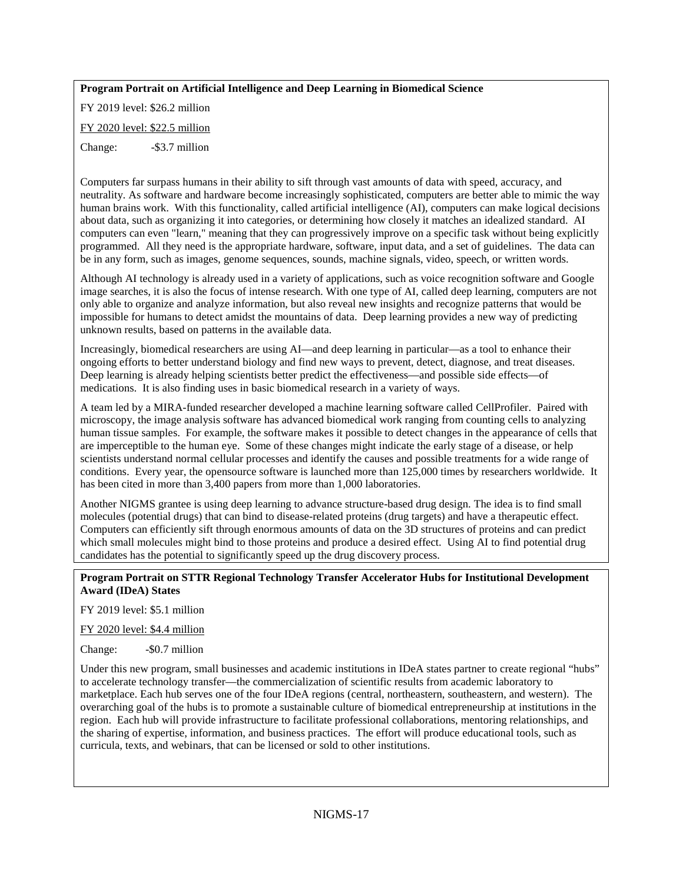#### **Program Portrait on Artificial Intelligence and Deep Learning in Biomedical Science**

FY 2019 level: \$26.2 million FY 2020 level: \$22.5 million

Change: - \$3.7 million

Computers far surpass humans in their ability to sift through vast amounts of data with speed, accuracy, and neutrality. As software and hardware become increasingly sophisticated, computers are better able to mimic the way human brains work. With this functionality, called artificial intelligence (AI), computers can make logical decisions about data, such as organizing it into categories, or determining how closely it matches an idealized standard. AI computers can even "learn," meaning that they can progressively improve on a specific task without being explicitly programmed. All they need is the appropriate hardware, software, input data, and a set of guidelines. The data can be in any form, such as images, genome sequences, sounds, machine signals, video, speech, or written words.

Although AI technology is already used in a variety of applications, such as voice recognition software and Google image searches, it is also the focus of intense research. With one type of AI, called deep learning, computers are not only able to organize and analyze information, but also reveal new insights and recognize patterns that would be impossible for humans to detect amidst the mountains of data. Deep learning provides a new way of predicting unknown results, based on patterns in the available data.

Increasingly, biomedical researchers are using AI—and deep learning in particular—as a tool to enhance their ongoing efforts to better understand biology and find new ways to prevent, detect, diagnose, and treat diseases. Deep learning is already helping scientists better predict the effectiveness—and possible side effects—of medications. It is also finding uses in basic biomedical research in a variety of ways.

A team led by a MIRA-funded researcher developed a machine learning software called CellProfiler. Paired with microscopy, the image analysis software has advanced biomedical work ranging from counting cells to analyzing human tissue samples. For example, the software makes it possible to detect changes in the appearance of cells that are imperceptible to the human eye. Some of these changes might indicate the early stage of a disease, or help scientists understand normal cellular processes and identify the causes and possible treatments for a wide range of conditions. Every year, the opensource software is launched more than 125,000 times by researchers worldwide. It has been cited in more than 3,400 papers from more than 1,000 laboratories.

Another NIGMS grantee is using deep learning to advance structure-based drug design. The idea is to find small molecules (potential drugs) that can bind to disease-related proteins (drug targets) and have a therapeutic effect. Computers can efficiently sift through enormous amounts of data on the 3D structures of proteins and can predict which small molecules might bind to those proteins and produce a desired effect. Using AI to find potential drug candidates has the potential to significantly speed up the drug discovery process.

#### **Program Portrait on STTR Regional Technology Transfer Accelerator Hubs for Institutional Development Award (IDeA) States**

FY 2019 level: \$5.1 million

FY 2020 level: \$4.4 million

Change:  $-$  \$0.7 million

Under this new program, small businesses and academic institutions in IDeA states partner to create regional "hubs" to accelerate technology transfer—the commercialization of scientific results from academic laboratory to marketplace. Each hub serves one of the four IDeA regions (central, northeastern, southeastern, and western). The overarching goal of the hubs is to promote a sustainable culture of biomedical entrepreneurship at institutions in the region. Each hub will provide infrastructure to facilitate professional collaborations, mentoring relationships, and the sharing of expertise, information, and business practices. The effort will produce educational tools, such as curricula, texts, and webinars, that can be licensed or sold to other institutions.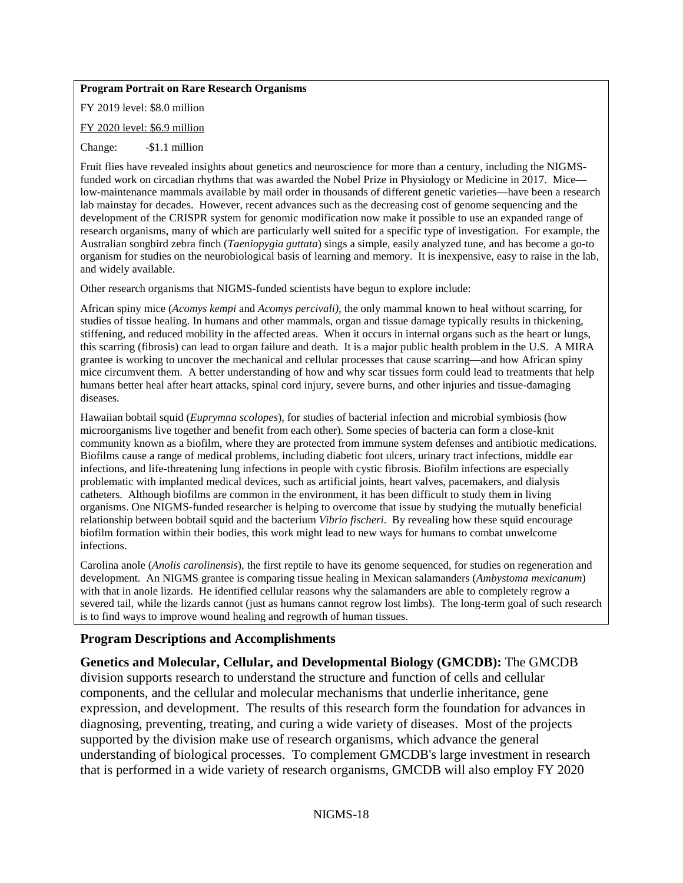#### **Program Portrait on Rare Research Organisms**

FY 2019 level: \$8.0 million

FY 2020 level: \$6.9 million

Change: -\$1.1 million

Fruit flies have revealed insights about genetics and neuroscience for more than a century, including the NIGMSfunded work on circadian rhythms that was awarded the Nobel Prize in Physiology or Medicine in 2017. Mice low-maintenance mammals available by mail order in thousands of different genetic varieties—have been a research lab mainstay for decades. However, recent advances such as the decreasing cost of genome sequencing and the development of the CRISPR system for genomic modification now make it possible to use an expanded range of research organisms, many of which are particularly well suited for a specific type of investigation. For example, the Australian songbird zebra finch (*Taeniopygia guttata*) sings a simple, easily analyzed tune, and has become a go-to organism for studies on the neurobiological basis of learning and memory. It is inexpensive, easy to raise in the lab, and widely available.

Other research organisms that NIGMS-funded scientists have begun to explore include:

African spiny mice (*Acomys kempi* and *Acomys percivali)*, the only mammal known to heal without scarring, for studies of tissue healing. In humans and other mammals, organ and tissue damage typically results in thickening, stiffening, and reduced mobility in the affected areas. When it occurs in internal organs such as the heart or lungs, this scarring (fibrosis) can lead to organ failure and death. It is a major public health problem in the U.S. A MIRA grantee is working to uncover the mechanical and cellular processes that cause scarring—and how African spiny mice circumvent them. A better understanding of how and why scar tissues form could lead to treatments that help humans better heal after heart attacks, spinal cord injury, severe burns, and other injuries and tissue-damaging diseases.

Hawaiian bobtail squid (*Euprymna scolopes*), for studies of bacterial infection and microbial symbiosis (how microorganisms live together and benefit from each other). Some species of bacteria can form a close-knit community known as a biofilm, where they are protected from immune system defenses and antibiotic medications. Biofilms cause a range of medical problems, including diabetic foot ulcers, urinary tract infections, middle ear infections, and life-threatening lung infections in people with cystic fibrosis. Biofilm infections are especially problematic with implanted medical devices, such as artificial joints, heart valves, pacemakers, and dialysis catheters. Although biofilms are common in the environment, it has been difficult to study them in living organisms. One NIGMS-funded researcher is helping to overcome that issue by studying the mutually beneficial relationship between bobtail squid and the bacterium *Vibrio fischeri*. By revealing how these squid encourage biofilm formation within their bodies, this work might lead to new ways for humans to combat unwelcome infections.

Carolina anole (*Anolis carolinensis*), the first reptile to have its genome sequenced, for studies on regeneration and development. An NIGMS grantee is comparing tissue healing in Mexican salamanders (*Ambystoma mexicanum*) with that in anole lizards. He identified cellular reasons why the salamanders are able to completely regrow a severed tail, while the lizards cannot (just as humans cannot regrow lost limbs). The long-term goal of such research is to find ways to improve wound healing and regrowth of human tissues.

### **Program Descriptions and Accomplishments**

### **Genetics and Molecular, Cellular, and Developmental Biology (GMCDB):** The GMCDB

division supports research to understand the structure and function of cells and cellular components, and the cellular and molecular mechanisms that underlie inheritance, gene expression, and development. The results of this research form the foundation for advances in diagnosing, preventing, treating, and curing a wide variety of diseases. Most of the projects supported by the division make use of research organisms, which advance the general understanding of biological processes. To complement GMCDB's large investment in research that is performed in a wide variety of research organisms, GMCDB will also employ FY 2020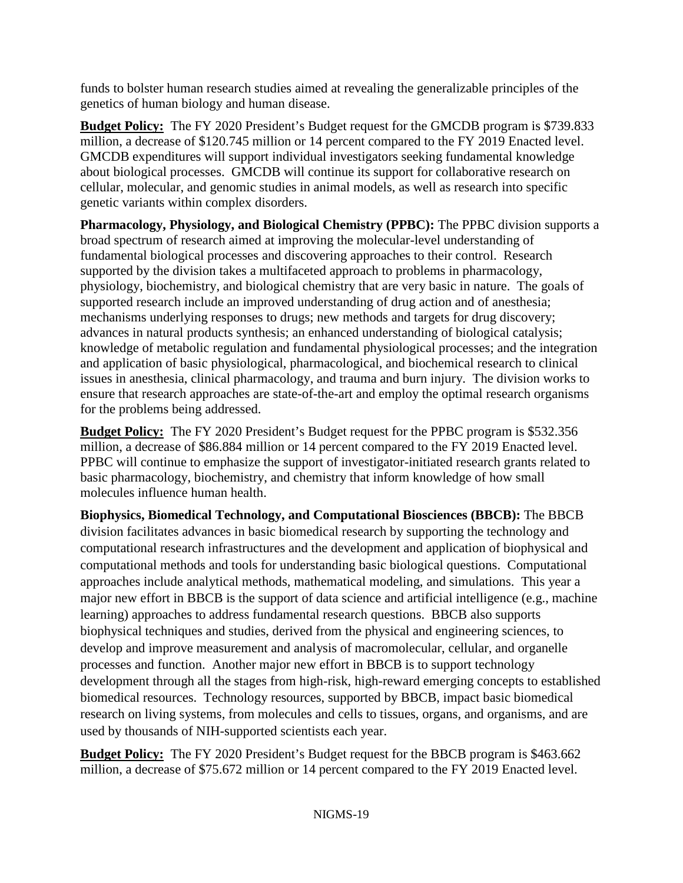funds to bolster human research studies aimed at revealing the generalizable principles of the genetics of human biology and human disease.

**Budget Policy:** The FY 2020 President's Budget request for the GMCDB program is \$739.833 million, a decrease of \$120.745 million or 14 percent compared to the FY 2019 Enacted level. GMCDB expenditures will support individual investigators seeking fundamental knowledge about biological processes. GMCDB will continue its support for collaborative research on cellular, molecular, and genomic studies in animal models, as well as research into specific genetic variants within complex disorders.

**Pharmacology, Physiology, and Biological Chemistry (PPBC):** The PPBC division supports a broad spectrum of research aimed at improving the molecular-level understanding of fundamental biological processes and discovering approaches to their control. Research supported by the division takes a multifaceted approach to problems in pharmacology, physiology, biochemistry, and biological chemistry that are very basic in nature. The goals of supported research include an improved understanding of drug action and of anesthesia; mechanisms underlying responses to drugs; new methods and targets for drug discovery; advances in natural products synthesis; an enhanced understanding of biological catalysis; knowledge of metabolic regulation and fundamental physiological processes; and the integration and application of basic physiological, pharmacological, and biochemical research to clinical issues in anesthesia, clinical pharmacology, and trauma and burn injury. The division works to ensure that research approaches are state-of-the-art and employ the optimal research organisms for the problems being addressed.

**Budget Policy:** The FY 2020 President's Budget request for the PPBC program is \$532.356 million, a decrease of \$86.884 million or 14 percent compared to the FY 2019 Enacted level. PPBC will continue to emphasize the support of investigator-initiated research grants related to basic pharmacology, biochemistry, and chemistry that inform knowledge of how small molecules influence human health.

**Biophysics, Biomedical Technology, and Computational Biosciences (BBCB):** The BBCB division facilitates advances in basic biomedical research by supporting the technology and computational research infrastructures and the development and application of biophysical and computational methods and tools for understanding basic biological questions. Computational approaches include analytical methods, mathematical modeling, and simulations. This year a major new effort in BBCB is the support of data science and artificial intelligence (e.g., machine learning) approaches to address fundamental research questions. BBCB also supports biophysical techniques and studies, derived from the physical and engineering sciences, to develop and improve measurement and analysis of macromolecular, cellular, and organelle processes and function. Another major new effort in BBCB is to support technology development through all the stages from high-risk, high-reward emerging concepts to established biomedical resources. Technology resources, supported by BBCB, impact basic biomedical research on living systems, from molecules and cells to tissues, organs, and organisms, and are used by thousands of NIH-supported scientists each year.

**Budget Policy:** The FY 2020 President's Budget request for the BBCB program is \$463.662 million, a decrease of \$75.672 million or 14 percent compared to the FY 2019 Enacted level.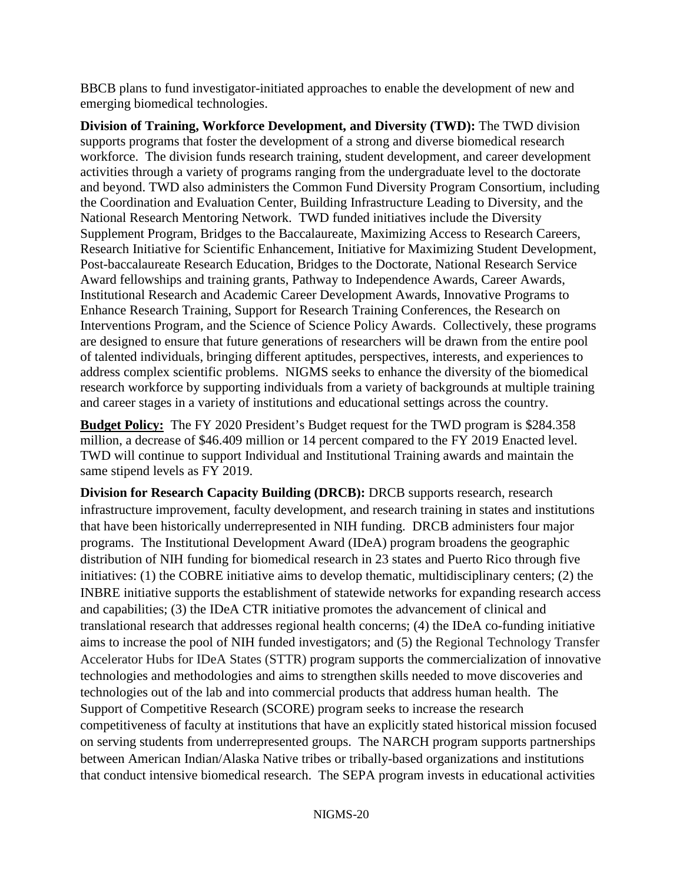BBCB plans to fund investigator-initiated approaches to enable the development of new and emerging biomedical technologies.

**Division of Training, Workforce Development, and Diversity (TWD):** The TWD division supports programs that foster the development of a strong and diverse biomedical research workforce. The division funds research training, student development, and career development activities through a variety of programs ranging from the undergraduate level to the doctorate and beyond. TWD also administers the Common Fund Diversity Program Consortium, including the Coordination and Evaluation Center, Building Infrastructure Leading to Diversity, and the National Research Mentoring Network. TWD funded initiatives include the Diversity Supplement Program, Bridges to the Baccalaureate, Maximizing Access to Research Careers, Research Initiative for Scientific Enhancement, Initiative for Maximizing Student Development, Post-baccalaureate Research Education, Bridges to the Doctorate, National Research Service Award fellowships and training grants, Pathway to Independence Awards, Career Awards, Institutional Research and Academic Career Development Awards, Innovative Programs to Enhance Research Training, Support for Research Training Conferences, the Research on Interventions Program, and the Science of Science Policy Awards. Collectively, these programs are designed to ensure that future generations of researchers will be drawn from the entire pool of talented individuals, bringing different aptitudes, perspectives, interests, and experiences to address complex scientific problems. NIGMS seeks to enhance the diversity of the biomedical research workforce by supporting individuals from a variety of backgrounds at multiple training and career stages in a variety of institutions and educational settings across the country.

**Budget Policy:** The FY 2020 President's Budget request for the TWD program is \$284.358 million, a decrease of \$46.409 million or 14 percent compared to the FY 2019 Enacted level. TWD will continue to support Individual and Institutional Training awards and maintain the same stipend levels as FY 2019.

**Division for Research Capacity Building (DRCB):** DRCB supports research, research infrastructure improvement, faculty development, and research training in states and institutions that have been historically underrepresented in NIH funding. DRCB administers four major programs. The Institutional Development Award (IDeA) program broadens the geographic distribution of NIH funding for biomedical research in 23 states and Puerto Rico through five initiatives: (1) the COBRE initiative aims to develop thematic, multidisciplinary centers; (2) the INBRE initiative supports the establishment of statewide networks for expanding research access and capabilities; (3) the IDeA CTR initiative promotes the advancement of clinical and translational research that addresses regional health concerns; (4) the IDeA co-funding initiative aims to increase the pool of NIH funded investigators; and (5) the Regional Technology Transfer Accelerator Hubs for IDeA States (STTR) program supports the commercialization of innovative technologies and methodologies and aims to strengthen skills needed to move discoveries and technologies out of the lab and into commercial products that address human health. The Support of Competitive Research (SCORE) program seeks to increase the research competitiveness of faculty at institutions that have an explicitly stated historical mission focused on serving students from underrepresented groups. The NARCH program supports partnerships between American Indian/Alaska Native tribes or tribally-based organizations and institutions that conduct intensive biomedical research. The SEPA program invests in educational activities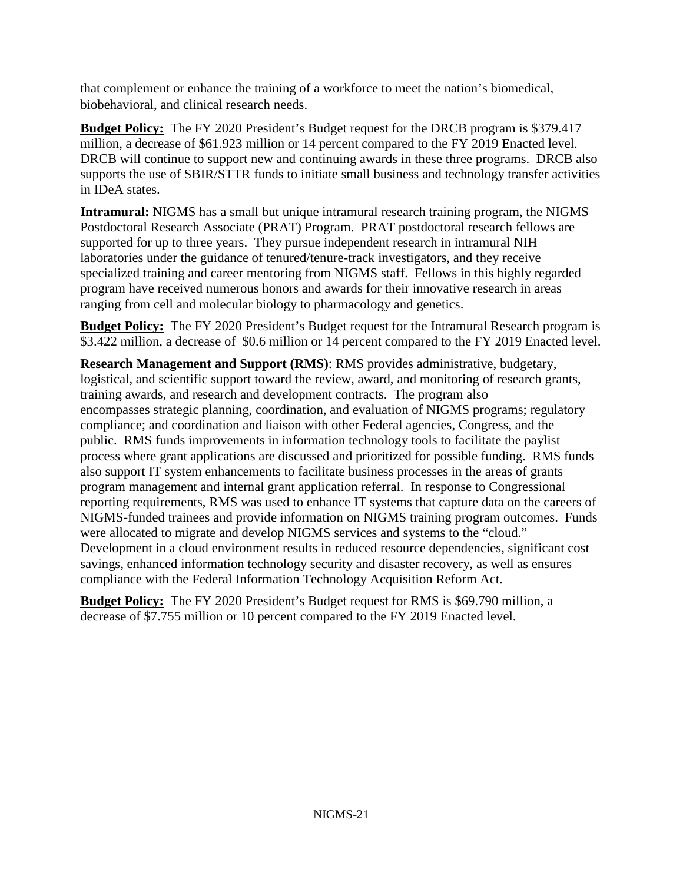that complement or enhance the training of a workforce to meet the nation's biomedical, biobehavioral, and clinical research needs.

**Budget Policy:** The FY 2020 President's Budget request for the DRCB program is \$379.417 million, a decrease of \$61.923 million or 14 percent compared to the FY 2019 Enacted level. DRCB will continue to support new and continuing awards in these three programs. DRCB also supports the use of SBIR/STTR funds to initiate small business and technology transfer activities in IDeA states.

**Intramural:** NIGMS has a small but unique intramural research training program, the NIGMS Postdoctoral Research Associate (PRAT) Program. PRAT postdoctoral research fellows are supported for up to three years. They pursue independent research in intramural NIH laboratories under the guidance of tenured/tenure-track investigators, and they receive specialized training and career mentoring from NIGMS staff. Fellows in this highly regarded program have received numerous honors and awards for their innovative research in areas ranging from cell and molecular biology to pharmacology and genetics.

**Budget Policy:** The FY 2020 President's Budget request for the Intramural Research program is \$3.422 million, a decrease of \$0.6 million or 14 percent compared to the FY 2019 Enacted level.

**Research Management and Support (RMS)**: RMS provides administrative, budgetary, logistical, and scientific support toward the review, award, and monitoring of research grants, training awards, and research and development contracts. The program also encompasses strategic planning, coordination, and evaluation of NIGMS programs; regulatory compliance; and coordination and liaison with other Federal agencies, Congress, and the public. RMS funds improvements in information technology tools to facilitate the paylist process where grant applications are discussed and prioritized for possible funding. RMS funds also support IT system enhancements to facilitate business processes in the areas of grants program management and internal grant application referral. In response to Congressional reporting requirements, RMS was used to enhance IT systems that capture data on the careers of NIGMS-funded trainees and provide information on NIGMS training program outcomes. Funds were allocated to migrate and develop NIGMS services and systems to the "cloud." Development in a cloud environment results in reduced resource dependencies, significant cost savings, enhanced information technology security and disaster recovery, as well as ensures compliance with the Federal Information Technology Acquisition Reform Act.

**Budget Policy:** The FY 2020 President's Budget request for RMS is \$69.790 million, a decrease of \$7.755 million or 10 percent compared to the FY 2019 Enacted level.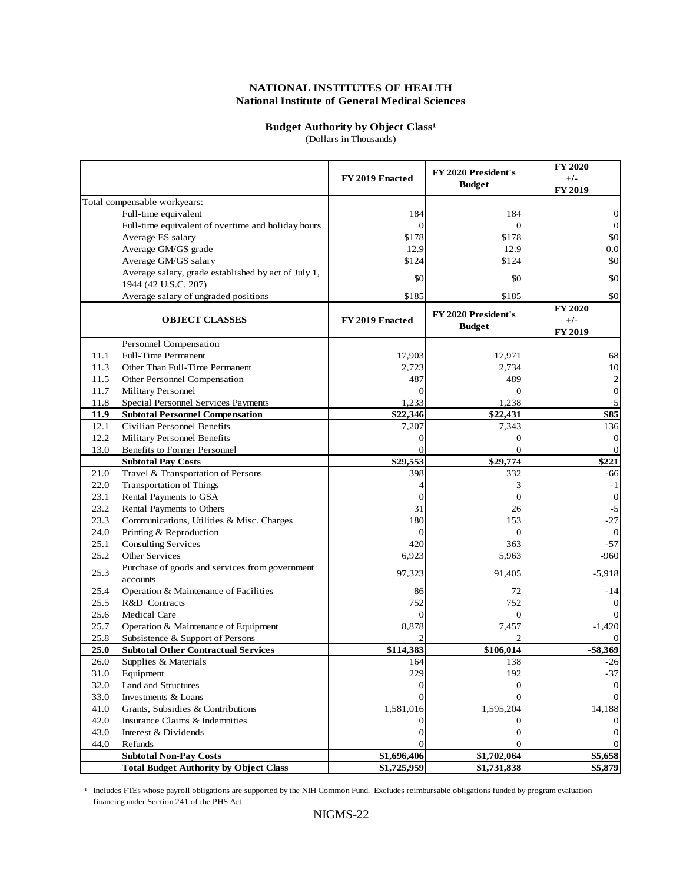#### **Budget Authority by Object Class<sup>1</sup>**

(Dollars in Thousands)

|      |                                                                             | FY 2019 Enacted         | FY 2020 President's<br><b>Budget</b> | <b>FY 2020</b><br>$+/-$<br><b>FY 2019</b> |
|------|-----------------------------------------------------------------------------|-------------------------|--------------------------------------|-------------------------------------------|
|      | Total compensable workyears:                                                |                         |                                      |                                           |
|      | Full-time equivalent                                                        | 184                     | 184                                  | 0                                         |
|      | Full-time equivalent of overtime and holiday hours                          | $\overline{0}$          | $\overline{0}$                       | $\mathbf{0}$                              |
|      | Average ES salary                                                           | \$178                   | \$178                                | \$0                                       |
|      | Average GM/GS grade                                                         | 12.9                    | 12.9                                 | 0.0                                       |
|      | Average GM/GS salary                                                        | \$124                   | \$124                                | \$0                                       |
|      | Average salary, grade established by act of July 1,<br>1944 (42 U.S.C. 207) | \$0                     | \$0                                  | \$0                                       |
|      | Average salary of ungraded positions                                        | \$185                   | \$185                                | \$0                                       |
|      | <b>OBJECT CLASSES</b>                                                       | FY 2019 Enacted         | FY 2020 President's<br><b>Budget</b> | <b>FY 2020</b><br>$+/-$<br><b>FY 2019</b> |
|      | Personnel Compensation                                                      |                         |                                      |                                           |
| 11.1 | <b>Full-Time Permanent</b>                                                  | 17,903                  | 17,971                               | 68                                        |
| 11.3 | Other Than Full-Time Permanent                                              | 2,723                   | 2,734                                | 10                                        |
| 11.5 | Other Personnel Compensation                                                | 487                     | 489                                  | $\overline{c}$                            |
| 11.7 | Military Personnel                                                          | $\Omega$                | $\Omega$                             | $\boldsymbol{0}$                          |
| 11.8 | Special Personnel Services Payments                                         | 1,233                   | 1,238                                | 5                                         |
| 11.9 | <b>Subtotal Personnel Compensation</b>                                      | \$22,346                | \$22,431                             | \$85                                      |
| 12.1 | Civilian Personnel Benefits                                                 | 7,207                   | 7,343                                | 136                                       |
| 12.2 | Military Personnel Benefits                                                 | $\boldsymbol{0}$        | 0                                    | $\boldsymbol{0}$                          |
| 13.0 | Benefits to Former Personnel                                                | $\Omega$                |                                      | $\Omega$                                  |
|      | <b>Subtotal Pay Costs</b>                                                   | \$29,553                | \$29,774                             | \$221                                     |
| 21.0 | Travel & Transportation of Persons                                          | 398                     | 332                                  | -66                                       |
| 22.0 | <b>Transportation of Things</b>                                             | $\overline{4}$          | 3                                    | $-1$                                      |
| 23.1 | Rental Payments to GSA                                                      | $\overline{0}$          | $\overline{0}$                       | $\mathbf{0}$                              |
| 23.2 | Rental Payments to Others                                                   | 31                      | 26                                   | $-5$                                      |
| 23.3 | Communications, Utilities & Misc. Charges                                   | 180                     | 153                                  | $-27$                                     |
| 24.0 | Printing & Reproduction                                                     | $\mathbf{0}$            | $\overline{0}$                       | $\theta$                                  |
| 25.1 | <b>Consulting Services</b>                                                  | 420                     | 363                                  | $-57$                                     |
| 25.2 | Other Services                                                              | 6,923                   | 5,963                                | $-960$                                    |
| 25.3 | Purchase of goods and services from government<br>accounts                  | 97,323                  | 91,405                               | $-5,918$                                  |
| 25.4 | Operation & Maintenance of Facilities                                       | 86                      | 72                                   | -14                                       |
| 25.5 | R&D Contracts                                                               | 752                     | 752                                  |                                           |
| 25.6 | <b>Medical Care</b>                                                         | $\mathbf{0}$            | $\overline{0}$                       |                                           |
| 25.7 | Operation & Maintenance of Equipment                                        | 8,878                   | 7,457                                | $-1,420$                                  |
| 25.8 | Subsistence & Support of Persons                                            | $\mathfrak{D}$          |                                      |                                           |
| 25.0 | <b>Subtotal Other Contractual Services</b>                                  | \$114,383               | \$106,014                            | $-$ \$8,369                               |
| 26.0 | Supplies & Materials                                                        | 164                     | 138                                  | $-26$                                     |
| 31.0 | Equipment                                                                   | 229                     | 192                                  | $-37$                                     |
| 32.0 | Land and Structures                                                         | $\boldsymbol{0}$        | 0                                    |                                           |
| 33.0 | Investments & Loans                                                         | $\Omega$                |                                      |                                           |
| 41.0 | Grants, Subsidies & Contributions                                           | 1,581,016               | 1,595,204                            | 14,188                                    |
| 42.0 | Insurance Claims & Indemnities                                              | 0                       |                                      |                                           |
| 43.0 | Interest & Dividends                                                        | 0                       |                                      | $\theta$                                  |
| 44.0 | Refunds<br><b>Subtotal Non-Pay Costs</b>                                    | $\Omega$<br>\$1,696,406 | \$1,702,064                          | \$5,658                                   |
|      | <b>Total Budget Authority by Object Class</b>                               | \$1,725,959             | \$1,731,838                          | \$5,879                                   |

<sup>1</sup> Includes FTEs whose payroll obligations are supported by the NIH Common Fund. Excludes reimbursable obligations funded by program evaluation financing under Section 241 of the PHS Act.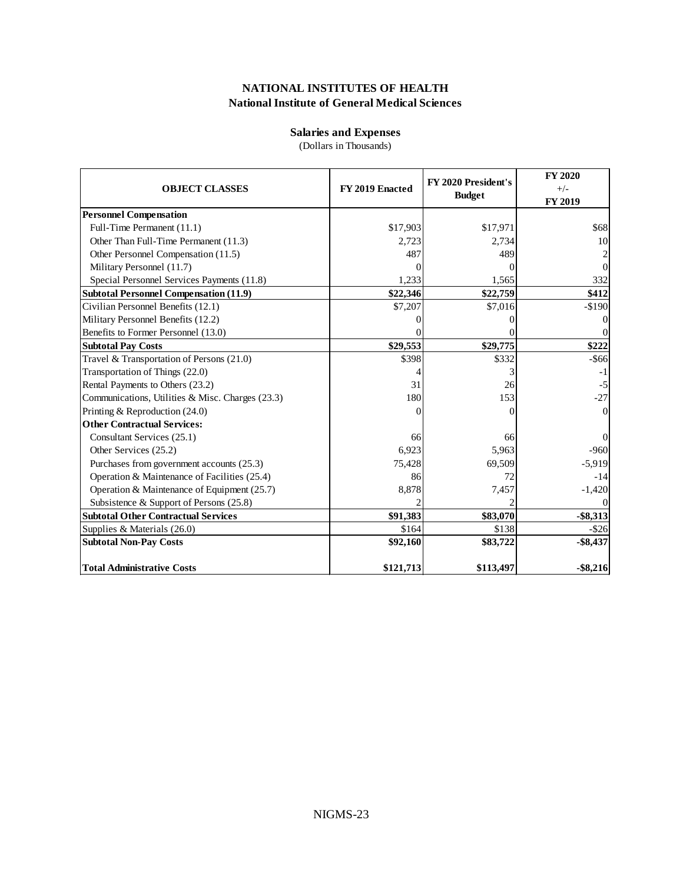## **Salaries and Expenses**

(Dollars in Thousands)

| <b>OBJECT CLASSES</b>                            | FY 2019 Enacted | FY 2020 President's<br><b>Budget</b> | <b>FY 2020</b><br>$+/-$<br>FY 2019 |
|--------------------------------------------------|-----------------|--------------------------------------|------------------------------------|
| <b>Personnel Compensation</b>                    |                 |                                      |                                    |
| Full-Time Permanent (11.1)                       | \$17,903        | \$17,971                             | \$68                               |
| Other Than Full-Time Permanent (11.3)            | 2,723           | 2.734                                | 10                                 |
| Other Personnel Compensation (11.5)              | 487             | 489                                  | 2                                  |
| Military Personnel (11.7)                        |                 |                                      | $\Omega$                           |
| Special Personnel Services Payments (11.8)       | 1,233           | 1,565                                | 332                                |
| <b>Subtotal Personnel Compensation (11.9)</b>    | \$22,346        | \$22,759                             | \$412                              |
| Civilian Personnel Benefits (12.1)               | \$7,207         | \$7,016                              | $-$190$                            |
| Military Personnel Benefits (12.2)               |                 |                                      | $\Omega$                           |
| Benefits to Former Personnel (13.0)              |                 |                                      | $\Omega$                           |
| <b>Subtotal Pay Costs</b>                        | \$29,553        | \$29,775                             | \$222                              |
| Travel & Transportation of Persons (21.0)        | \$398           | \$332                                | $-$ \$66                           |
| Transportation of Things (22.0)                  |                 |                                      | $-1$                               |
| Rental Payments to Others (23.2)                 | 31              | 26                                   | $-5$                               |
| Communications, Utilities & Misc. Charges (23.3) | 180             | 153                                  | $-27$                              |
| Printing & Reproduction (24.0)                   |                 |                                      | $\Omega$                           |
| <b>Other Contractual Services:</b>               |                 |                                      |                                    |
| Consultant Services (25.1)                       | 66              | 66                                   | $\Omega$                           |
| Other Services (25.2)                            | 6,923           | 5,963                                | $-960$                             |
| Purchases from government accounts (25.3)        | 75,428          | 69,509                               | $-5,919$                           |
| Operation & Maintenance of Facilities (25.4)     | 86              | 72                                   | $-14$                              |
| Operation & Maintenance of Equipment (25.7)      | 8,878           | 7,457                                | $-1,420$                           |
| Subsistence & Support of Persons (25.8)          |                 |                                      |                                    |
| <b>Subtotal Other Contractual Services</b>       | \$91,383        | \$83,070                             | $-$ \$8,313                        |
| Supplies & Materials (26.0)                      | \$164           | \$138                                | $-$ \$26                           |
| <b>Subtotal Non-Pay Costs</b>                    | \$92,160        | \$83,722                             | $-$ \$8,437                        |
| <b>Total Administrative Costs</b>                | \$121,713       | \$113,497                            | $-$ \$8,216                        |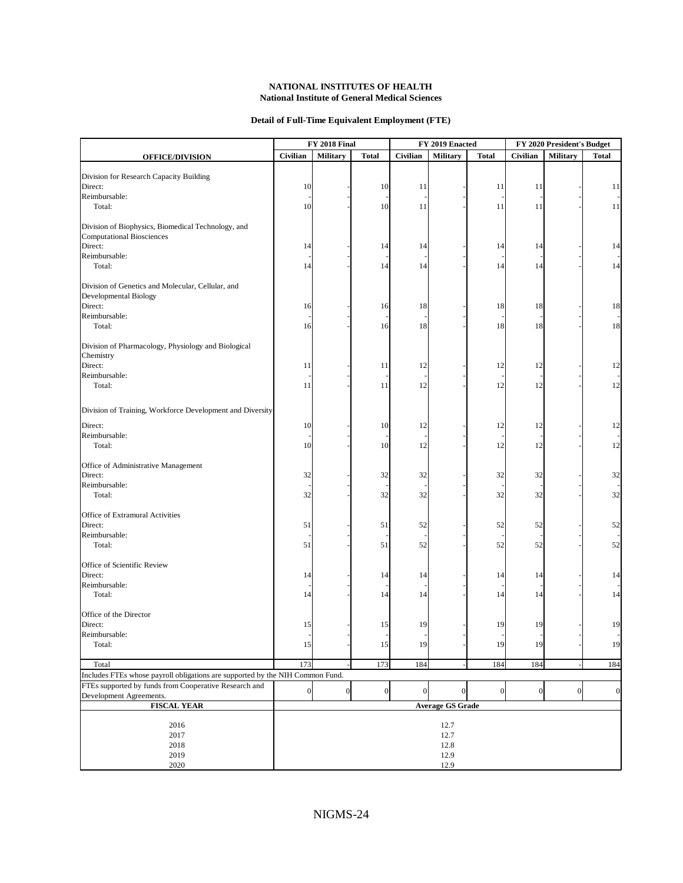#### **Detail of Full-Time Equivalent Employment (FTE)**

|                                                                               |                         | FY 2018 Final    |                  |                | FY 2019 Enacted |              | FY 2020 President's Budget |                 |                  |
|-------------------------------------------------------------------------------|-------------------------|------------------|------------------|----------------|-----------------|--------------|----------------------------|-----------------|------------------|
| <b>OFFICE/DIVISION</b>                                                        | Civilian                | <b>Military</b>  | <b>Total</b>     | Civilian       | Military        | <b>Total</b> | Civilian                   | <b>Military</b> | <b>Total</b>     |
|                                                                               |                         |                  |                  |                |                 |              |                            |                 |                  |
| Division for Research Capacity Building                                       |                         |                  |                  |                |                 |              |                            |                 |                  |
| Direct:<br>Reimbursable:                                                      | 10                      |                  | 10               | 11             |                 | 11           | 11                         |                 | 11               |
| Total:                                                                        | 10                      |                  | 10               | 11             |                 | 11           | 11                         |                 | 11               |
|                                                                               |                         |                  |                  |                |                 |              |                            |                 |                  |
| Division of Biophysics, Biomedical Technology, and                            |                         |                  |                  |                |                 |              |                            |                 |                  |
| <b>Computational Biosciences</b>                                              |                         |                  |                  |                |                 |              |                            |                 |                  |
| Direct:                                                                       | 14                      |                  | 14               | 14             |                 | 14           | 14                         |                 | 14               |
| Reimbursable:                                                                 |                         |                  |                  |                |                 |              |                            |                 |                  |
| Total:                                                                        | 14                      |                  | 14               | 14             |                 | 14           | 14                         |                 | 14               |
|                                                                               |                         |                  |                  |                |                 |              |                            |                 |                  |
| Division of Genetics and Molecular, Cellular, and                             |                         |                  |                  |                |                 |              |                            |                 |                  |
| Developmental Biology                                                         |                         |                  |                  |                |                 |              |                            |                 |                  |
| Direct:<br>Reimbursable:                                                      | 16                      |                  | 16               | 18             |                 | 18           | 18                         |                 | 18               |
| Total:                                                                        |                         |                  |                  | 18             |                 |              | 18                         |                 | 18               |
|                                                                               | 16                      |                  | 16               |                |                 | 18           |                            |                 |                  |
| Division of Pharmacology, Physiology and Biological                           |                         |                  |                  |                |                 |              |                            |                 |                  |
| Chemistry                                                                     |                         |                  |                  |                |                 |              |                            |                 |                  |
| Direct:                                                                       | 11                      |                  | 11               | 12             |                 | 12           | 12                         |                 | 12               |
| Reimbursable:                                                                 |                         |                  |                  |                |                 |              |                            |                 |                  |
| Total:                                                                        | 11                      |                  | 11               | 12             |                 | 12           | 12                         |                 | 12               |
|                                                                               |                         |                  |                  |                |                 |              |                            |                 |                  |
| Division of Training, Workforce Development and Diversity                     |                         |                  |                  |                |                 |              |                            |                 |                  |
| Direct:                                                                       | 10                      |                  | 10               | 12             |                 | 12           | 12                         |                 | 12               |
| Reimbursable:                                                                 |                         |                  |                  |                |                 |              |                            |                 |                  |
| Total:                                                                        | 10                      |                  | 10               | 12             |                 | 12           | 12                         |                 | 12               |
|                                                                               |                         |                  |                  |                |                 |              |                            |                 |                  |
| Office of Administrative Management                                           |                         |                  |                  |                |                 |              |                            |                 |                  |
| Direct:                                                                       | 32                      |                  | 32               | 32             |                 | 32           | 32                         |                 | 32               |
| Reimbursable:                                                                 |                         |                  |                  |                |                 |              |                            |                 |                  |
| Total:                                                                        | 32                      |                  | 32               | 32             |                 | 32           | 32                         |                 | 32               |
| Office of Extramural Activities                                               |                         |                  |                  |                |                 |              |                            |                 |                  |
| Direct:                                                                       | 51                      |                  | 51               | 52             |                 | 52           | 52                         |                 | 52               |
| Reimbursable:                                                                 |                         |                  |                  |                |                 |              |                            |                 |                  |
| Total:                                                                        | 51                      |                  | 51               | 52             |                 | 52           | 52                         |                 | 52               |
|                                                                               |                         |                  |                  |                |                 |              |                            |                 |                  |
| Office of Scientific Review<br>Direct:                                        | 14                      |                  | 14               | 14             |                 | 14           | 14                         |                 | 14               |
| Reimbursable:                                                                 |                         |                  |                  |                |                 |              |                            |                 |                  |
| Total:                                                                        | 14                      |                  | 14               | 14             |                 | 14           | 14                         |                 | 14               |
|                                                                               |                         |                  |                  |                |                 |              |                            |                 |                  |
| Office of the Director                                                        |                         |                  |                  |                |                 |              |                            |                 |                  |
| Direct:                                                                       | 15                      |                  | 15               | 19             |                 | 19           | 19                         |                 | 19               |
| Reimbursable:                                                                 |                         |                  |                  |                |                 |              |                            |                 |                  |
| Total:                                                                        | 15                      |                  | 15               | 19             |                 | 19           | 19                         |                 | 19               |
| Total                                                                         | 173                     |                  | 173              | 184            |                 | 184          | 184                        |                 | 184              |
| Includes FTEs whose payroll obligations are supported by the NIH Common Fund. |                         |                  |                  |                |                 |              |                            |                 |                  |
| FTEs supported by funds from Cooperative Research and                         |                         |                  |                  |                |                 |              |                            |                 |                  |
| Development Agreements.                                                       | $\overline{0}$          | $\boldsymbol{0}$ | $\boldsymbol{0}$ | $\overline{0}$ | $\Omega$        | $\mathbf{0}$ | $\boldsymbol{0}$           | $\overline{0}$  | $\boldsymbol{0}$ |
| <b>FISCAL YEAR</b>                                                            | <b>Average GS Grade</b> |                  |                  |                |                 |              |                            |                 |                  |
|                                                                               |                         |                  |                  |                |                 |              |                            |                 |                  |
| 2016                                                                          | 12.7                    |                  |                  |                |                 |              |                            |                 |                  |
| 2017                                                                          | 12.7                    |                  |                  |                |                 |              |                            |                 |                  |
| 2018                                                                          | 12.8                    |                  |                  |                |                 |              |                            |                 |                  |
| 2019                                                                          | 12.9                    |                  |                  |                |                 |              |                            |                 |                  |
| 2020                                                                          | 12.9                    |                  |                  |                |                 |              |                            |                 |                  |